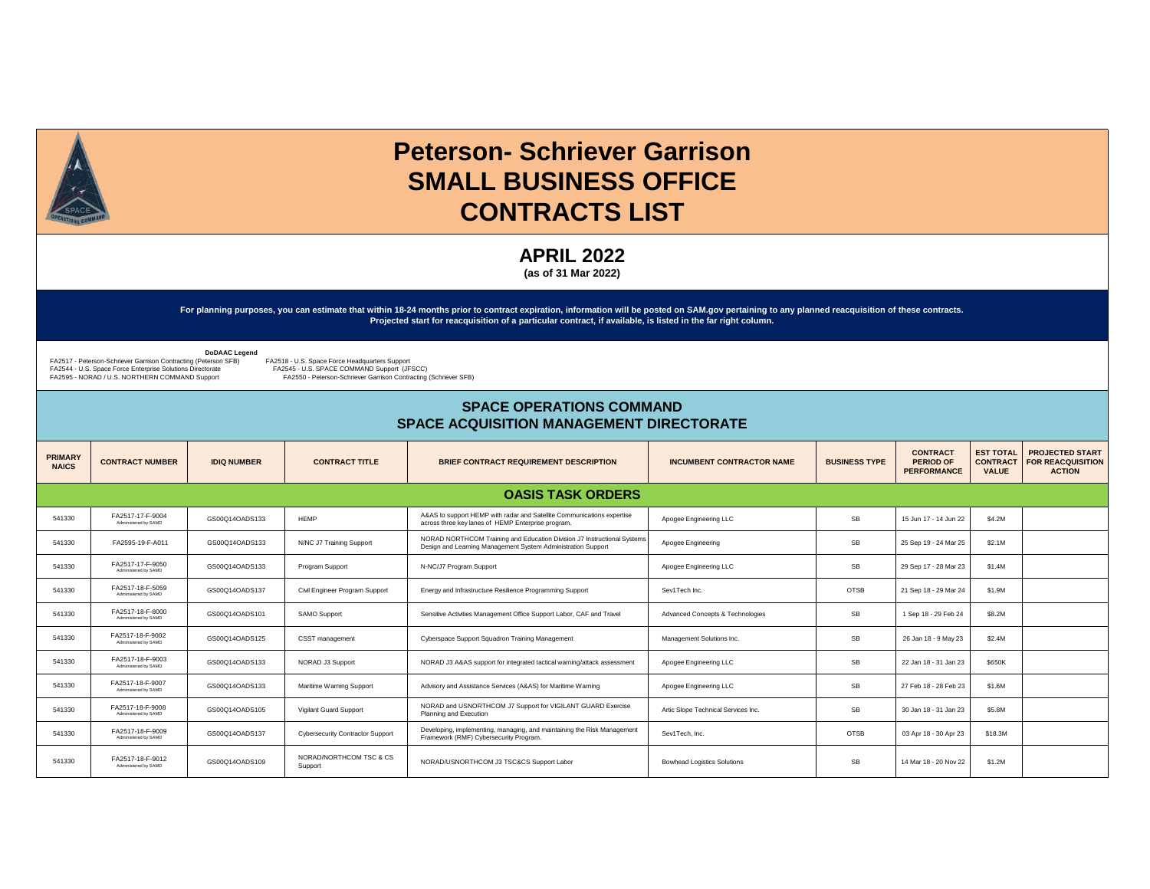

## **Peterson- Schriever Garrison SMALL BUSINESS OFFICE CONTRACTS LIST**

**APRIL 2022** 

**(as of 31 Mar 2022)**

**For planning purposes, you can estimate that within 18-24 months prior to contract expiration, information will be posted on SAM.gov pertaining to any planned reacquisition of these contracts. Projected start for reacquisition of a particular contract, if available, is listed in the far right column.** 

 **DoDAAC Legend** 

FA2517 - Peterson-Schriever Garrison Contracting (Peterson SFB)<br>FA2544 - U.S. Space Force Enterprise Solutions Directorate<br>FA2595 - NORAD / U.S. NORTHERN COMMAND Support

FA2518 - U.S. Space Force Headquarters Support<br>FA2545 - U.S. SPACE COMMAND Support (JFSCC) FA2550 - Peterson-Schriever Garrison Contracting (Schriever SFB)

## **SPACE OPERATIONS COMMAND SPACE ACQUISITION MANAGEMENT DIRECTORATE**

| <b>PRIMARY</b><br><b>NAICS</b> | <b>CONTRACT NUMBER</b>                   | <b>IDIQ NUMBER</b> | <b>CONTRACT TITLE</b>              | <b>BRIEF CONTRACT REQUIREMENT DESCRIPTION</b>                                                                                           | <b>INCUMBENT CONTRACTOR NAME</b>    | <b>BUSINESS TYPE</b> | <b>CONTRACT</b><br><b>PERIOD OF</b><br><b>PERFORMANCE</b> | <b>EST TOTAL</b><br><b>CONTRACT</b><br><b>VALUE</b> | <b>PROJECTED START</b><br><b>FOR REACQUISITION</b><br><b>ACTION</b> |
|--------------------------------|------------------------------------------|--------------------|------------------------------------|-----------------------------------------------------------------------------------------------------------------------------------------|-------------------------------------|----------------------|-----------------------------------------------------------|-----------------------------------------------------|---------------------------------------------------------------------|
|                                |                                          |                    |                                    | <b>OASIS TASK ORDERS</b>                                                                                                                |                                     |                      |                                                           |                                                     |                                                                     |
| 541330                         | FA2517-17-F-9004<br>Administered by SAMD | GS00Q14OADS133     | <b>HFMP</b>                        | A&AS to support HEMP with radar and Satellite Communications expertise<br>across three key lanes of HEMP Enterprise program.            | Apogee Engineering LLC              | SB                   | 15 Jun 17 - 14 Jun 22                                     | \$4.2M                                              |                                                                     |
| 541330                         | FA2595-19-F-A011                         | GS00Q14OADS133     | N/NC J7 Training Support           | NORAD NORTHCOM Training and Education Division J7 Instructional Systems<br>Design and Learning Management System Administration Support | Apogee Engineering                  | SB                   | 25 Sep 19 - 24 Mar 25                                     | \$2.1M                                              |                                                                     |
| 541330                         | FA2517-17-F-9050<br>Administered by SAMD | GS00Q14OADS133     | Program Support                    | N-NC/J7 Program Support                                                                                                                 | Apogee Engineering LLC              | <b>SB</b>            | 29 Sep 17 - 28 Mar 23                                     | \$1.4M                                              |                                                                     |
| 541330                         | FA2517-18-F-5059<br>Administered by SAMD | GS00Q14OADS137     | Civil Engineer Program Support     | Energy and Infrastructure Resilience Programming Support                                                                                | Sev1Tech Inc.                       | <b>OTSB</b>          | 21 Sep 18 - 29 Mar 24                                     | \$1.9M                                              |                                                                     |
| 541330                         | FA2517-18-F-8000<br>Administered by SAMD | GS00Q14OADS101     | SAMO Support                       | Sensitive Activities Management Office Support Labor, CAF and Travel                                                                    | Advanced Concepts & Technologies    | SB                   | 1 Sep 18 - 29 Feb 24                                      | \$8.2M                                              |                                                                     |
| 541330                         | FA2517-18-F-9002<br>Administered by SAMD | GS00Q14OADS125     | CSST management                    | Cyberspace Support Squadron Training Management                                                                                         | Management Solutions Inc.           | SB                   | 26 Jan 18 - 9 May 23                                      | \$2.4M                                              |                                                                     |
| 541330                         | FA2517-18-F-9003<br>Administered by SAMD | GS00Q14OADS133     | NORAD J3 Support                   | NORAD J3 A&AS support for integrated tactical warning/attack assessment                                                                 | Apogee Engineering LLC              | <b>SB</b>            | 22 Jan 18 - 31 Jan 23                                     | \$650K                                              |                                                                     |
| 541330                         | FA2517-18-F-9007<br>Administered by SAMD | GS00Q14OADS133     | Maritime Warning Support           | Advisory and Assistance Services (A&AS) for Maritime Warning                                                                            | Apogee Engineering LLC              | SB                   | 27 Feb 18 - 28 Feb 23                                     | \$1.6M                                              |                                                                     |
| 541330                         | FA2517-18-F-9008<br>Administered by SAMD | GS00Q14OADS105     | Vigilant Guard Support             | NORAD and USNORTHCOM J7 Support for VIGILANT GUARD Exercise<br>Planning and Execution                                                   | Artic Slope Technical Services Inc. | SB                   | 30 Jan 18 - 31 Jan 23                                     | \$5.8M                                              |                                                                     |
| 541330                         | FA2517-18-F-9009<br>Administered by SAMD | GS00Q14OADS137     | Cybersecurity Contractor Support   | Developing, implementing, managing, and maintaining the Risk Management<br>Framework (RMF) Cybersecurity Program.                       | Sev1Tech, Inc.                      | <b>OTSB</b>          | 03 Apr 18 - 30 Apr 23                                     | \$18.3M                                             |                                                                     |
| 541330                         | FA2517-18-F-9012<br>Administered by SAMD | GS00Q14OADS109     | NORAD/NORTHCOM TSC & CS<br>Support | NORAD/USNORTHCOM J3 TSC&CS Support Labor                                                                                                | <b>Bowhead Logistics Solutions</b>  | <b>SB</b>            | 14 Mar 18 - 20 Nov 22                                     | \$1.2M                                              |                                                                     |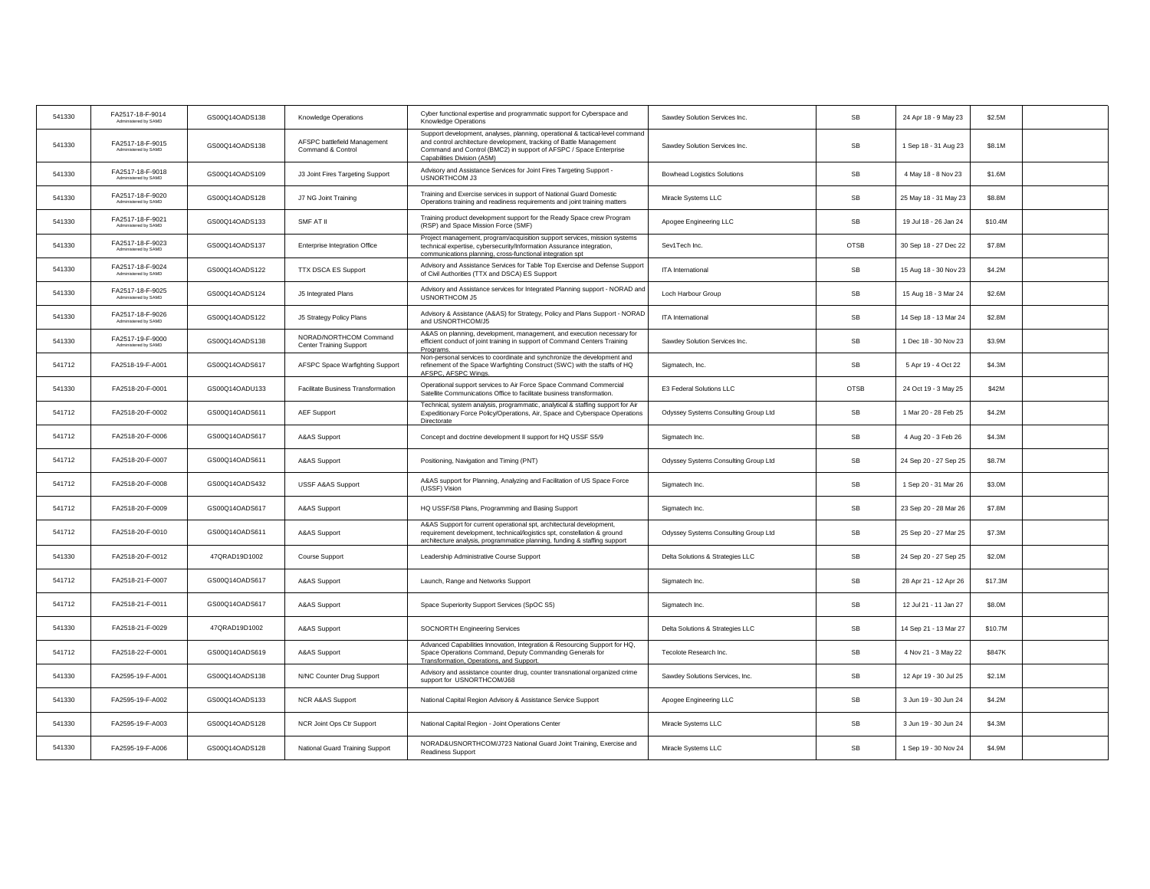| 541330 | FA2517-18-F-9014<br>Administered by SAMD        | GS00Q14OADS138 | Knowledge Operations                                     | Cyber functional expertise and programmatic support for Cyberspace and<br>Knowledge Operations                                                                                                                                                           | Sawdey Solution Services Inc.        | SB          | 24 Apr 18 - 9 May 23  | \$2.5M  |  |
|--------|-------------------------------------------------|----------------|----------------------------------------------------------|----------------------------------------------------------------------------------------------------------------------------------------------------------------------------------------------------------------------------------------------------------|--------------------------------------|-------------|-----------------------|---------|--|
| 541330 | FA2517-18-F-9015<br>Administered by SAMD        | GS00Q14OADS138 | AFSPC battlefield Management<br>Command & Control        | Support development, analyses, planning, operational & tactical-level command<br>and control architecture development, tracking of Battle Management<br>Command and Control (BMC2) in support of AFSPC / Space Enterprise<br>Capabilities Division (A5M) | Sawdey Solution Services Inc.        | SB          | 1 Sep 18 - 31 Aug 23  | \$8.1M  |  |
| 541330 | FA2517-18-F-9018<br>Administered by SAMD        | GS00Q14OADS109 | J3 Joint Fires Targeting Support                         | Advisory and Assistance Services for Joint Fires Targeting Support -<br>USNORTHCOM J3                                                                                                                                                                    | <b>Bowhead Logistics Solutions</b>   | SB          | 4 May 18 - 8 Nov 23   | \$1.6M  |  |
| 541330 | FA2517-18-F-9020<br>Administered by SAMD        | GS00Q14OADS128 | J7 NG Joint Training                                     | Training and Exercise services in support of National Guard Domestic<br>Operations training and readiness requirements and joint training matters                                                                                                        | Miracle Systems LLC                  | SB          | 25 May 18 - 31 May 23 | \$8.8M  |  |
| 541330 | FA2517-18-F-9021<br>Administered by SAMD        | GS00Q14OADS133 | SMF AT II                                                | Training product development support for the Ready Space crew Program<br>(RSP) and Space Mission Force (SMF)                                                                                                                                             | Apogee Engineering LLC               | SB          | 19 Jul 18 - 26 Jan 24 | \$10.4M |  |
| 541330 | FA2517-18-F-9023<br>Administered by SAMD        | GS00Q14OADS137 | Enterprise Integration Office                            | Project management, program/acquisition support services, mission systems<br>technical expertise, cybersecurity/Information Assurance integration,<br>communications planning, cross-functional integration spt                                          | Sev1Tech Inc.                        | <b>OTSB</b> | 30 Sep 18 - 27 Dec 22 | \$7.8M  |  |
| 541330 | FA2517-18-F-9024<br>Administered by SAMD        | GS00Q14OADS122 | <b>TTX DSCA ES Support</b>                               | Advisory and Assistance Services for Table Top Exercise and Defense Support<br>of Civil Authorities (TTX and DSCA) ES Support                                                                                                                            | ITA International                    | <b>SB</b>   | 15 Aug 18 - 30 Nov 23 | \$4.2M  |  |
| 541330 | FA2517-18-F-9025<br><b>Administered by SAMD</b> | GS00Q14OADS124 | J5 Integrated Plans                                      | Advisory and Assistance services for Integrated Planning support - NORAD and<br>USNORTHCOM J5                                                                                                                                                            | Loch Harbour Group                   | SB          | 15 Aug 18 - 3 Mar 24  | \$2.6M  |  |
| 541330 | FA2517-18-F-9026<br>Administered by SAMD        | GS00Q14OADS122 | J5 Strategy Policy Plans                                 | Advisory & Assistance (A&AS) for Strategy, Policy and Plans Support - NORAD<br>and USNORTHCOM/J5                                                                                                                                                         | ITA International                    | SB          | 14 Sep 18 - 13 Mar 24 | \$2.8M  |  |
| 541330 | FA2517-19-F-9000<br>Administered by SAMD        | GS00Q14OADS138 | NORAD/NORTHCOM Command<br><b>Center Training Support</b> | A&AS on planning, development, management, and execution necessary for<br>efficient conduct of joint training in support of Command Centers Training<br>Programs.                                                                                        | Sawdey Solution Services Inc.        | SB          | 1 Dec 18 - 30 Nov 23  | \$3.9M  |  |
| 541712 | FA2518-19-F-A001                                | GS00Q14OADS617 | AFSPC Space Warfighting Support                          | Non-personal services to coordinate and synchronize the development and<br>refinement of the Space Warfighting Construct (SWC) with the staffs of HQ<br>AFSPC, AFSPC Wings.                                                                              | Sigmatech, Inc.                      | SB          | 5 Apr 19 - 4 Oct 22   | \$4.3M  |  |
| 541330 | FA2518-20-F-0001                                | GS00Q14OADU133 | <b>Facilitate Business Transformation</b>                | Operational support services to Air Force Space Command Commercial<br>Satellite Communications Office to facilitate business transformation.                                                                                                             | E3 Federal Solutions LLC             | <b>OTSB</b> | 24 Oct 19 - 3 May 25  | \$42M   |  |
| 541712 | FA2518-20-F-0002                                | GS00Q14OADS611 | <b>AEF Support</b>                                       | Technical, system analysis, programmatic, analytical & staffing support for Air<br>Expeditionary Force Policy/Operations, Air, Space and Cyberspace Operations<br>Directorate                                                                            | Odyssey Systems Consulting Group Ltd | SB          | 1 Mar 20 - 28 Feb 25  | \$4.2M  |  |
| 541712 | FA2518-20-F-0006                                | GS00Q14OADS617 | A&AS Support                                             | Concept and doctrine development II support for HQ USSF S5/9                                                                                                                                                                                             | Sigmatech Inc.                       | <b>SB</b>   | 4 Aug 20 - 3 Feb 26   | \$4.3M  |  |
| 541712 | FA2518-20-F-0007                                | GS00Q14OADS611 | A&AS Support                                             | Positioning, Navigation and Timing (PNT)                                                                                                                                                                                                                 | Odyssey Systems Consulting Group Ltd | SB          | 24 Sep 20 - 27 Sep 25 | \$8.7M  |  |
| 541712 | FA2518-20-F-0008                                | GS00Q14OADS432 | <b>USSF A&amp;AS Support</b>                             | A&AS support for Planning, Analyzing and Facilitation of US Space Force<br>(USSF) Vision                                                                                                                                                                 | Sigmatech Inc.                       | SB          | 1 Sep 20 - 31 Mar 26  | \$3.0M  |  |
| 541712 | FA2518-20-F-0009                                | GS00Q14OADS617 | A&AS Support                                             | HQ USSF/S8 Plans, Programming and Basing Support                                                                                                                                                                                                         | Sigmatech Inc.                       | SB          | 23 Sep 20 - 28 Mar 26 | \$7.8M  |  |
| 541712 | FA2518-20-F-0010                                | GS00Q14OADS611 | A&AS Support                                             | A&AS Support for current operational spt, architectural development,<br>requirement development, technical/logistics spt, constellation & ground<br>architecture analysis, programmatice planning, funding & staffing support                            | Odyssey Systems Consulting Group Ltd | SB          | 25 Sep 20 - 27 Mar 25 | \$7.3M  |  |
| 541330 | FA2518-20-F-0012                                | 47QRAD19D1002  | Course Support                                           | Leadership Administrative Course Support                                                                                                                                                                                                                 | Delta Solutions & Strategies LLC     | SB          | 24 Sep 20 - 27 Sep 25 | \$2.0M  |  |
| 541712 | FA2518-21-F-0007                                | GS00Q14OADS617 | A&AS Support                                             | Launch, Range and Networks Support                                                                                                                                                                                                                       | Sigmatech Inc.                       | SB          | 28 Apr 21 - 12 Apr 26 | \$17.3M |  |
| 541712 | FA2518-21-F-0011                                | GS00Q14OADS617 | A&AS Support                                             | Space Superiority Support Services (SpOC S5)                                                                                                                                                                                                             | Sigmatech Inc.                       | SB          | 12 Jul 21 - 11 Jan 27 | \$8.0M  |  |
| 541330 | FA2518-21-F-0029                                | 47QRAD19D1002  | A&AS Support                                             | SOCNORTH Engineering Services                                                                                                                                                                                                                            | Delta Solutions & Strategies LLC     | SB          | 14 Sep 21 - 13 Mar 27 | \$10.7M |  |
| 541712 | FA2518-22-F-0001                                | GS00Q14OADS619 | A&AS Support                                             | Advanced Capabilities Innovation, Integration & Resourcing Support for HQ,<br>Space Operations Command, Deputy Commanding Generals for<br>Transformation, Operations, and Support.                                                                       | Tecolote Research Inc.               | <b>SB</b>   | 4 Nov 21 - 3 May 22   | \$847K  |  |
| 541330 | FA2595-19-F-A001                                | GS00Q14OADS138 | N/NC Counter Drug Support                                | Advisory and assistance counter drug, counter transnational organized crime<br>support for USNORTHCOM/J68                                                                                                                                                | Sawdey Solutions Services, Inc.      | <b>SB</b>   | 12 Apr 19 - 30 Jul 25 | \$2.1M  |  |
| 541330 | FA2595-19-F-A002                                | GS00Q14OADS133 | NCR A&AS Support                                         | National Capital Region Advisory & Assistance Service Support                                                                                                                                                                                            | Apogee Engineering LLC               | SB          | 3 Jun 19 - 30 Jun 24  | \$4.2M  |  |
| 541330 | FA2595-19-F-A003                                | GS00Q14OADS128 | NCR Joint Ops Ctr Support                                | National Capital Region - Joint Operations Center                                                                                                                                                                                                        | Miracle Systems LLC                  | SB          | 3 Jun 19 - 30 Jun 24  | \$4.3M  |  |
| 541330 | FA2595-19-F-A006                                | GS00Q14OADS128 | National Guard Training Support                          | NORAD&USNORTHCOM/J723 National Guard Joint Training, Exercise and<br><b>Readiness Support</b>                                                                                                                                                            | Miracle Systems LLC                  | SB          | 1 Sep 19 - 30 Nov 24  | \$4.9M  |  |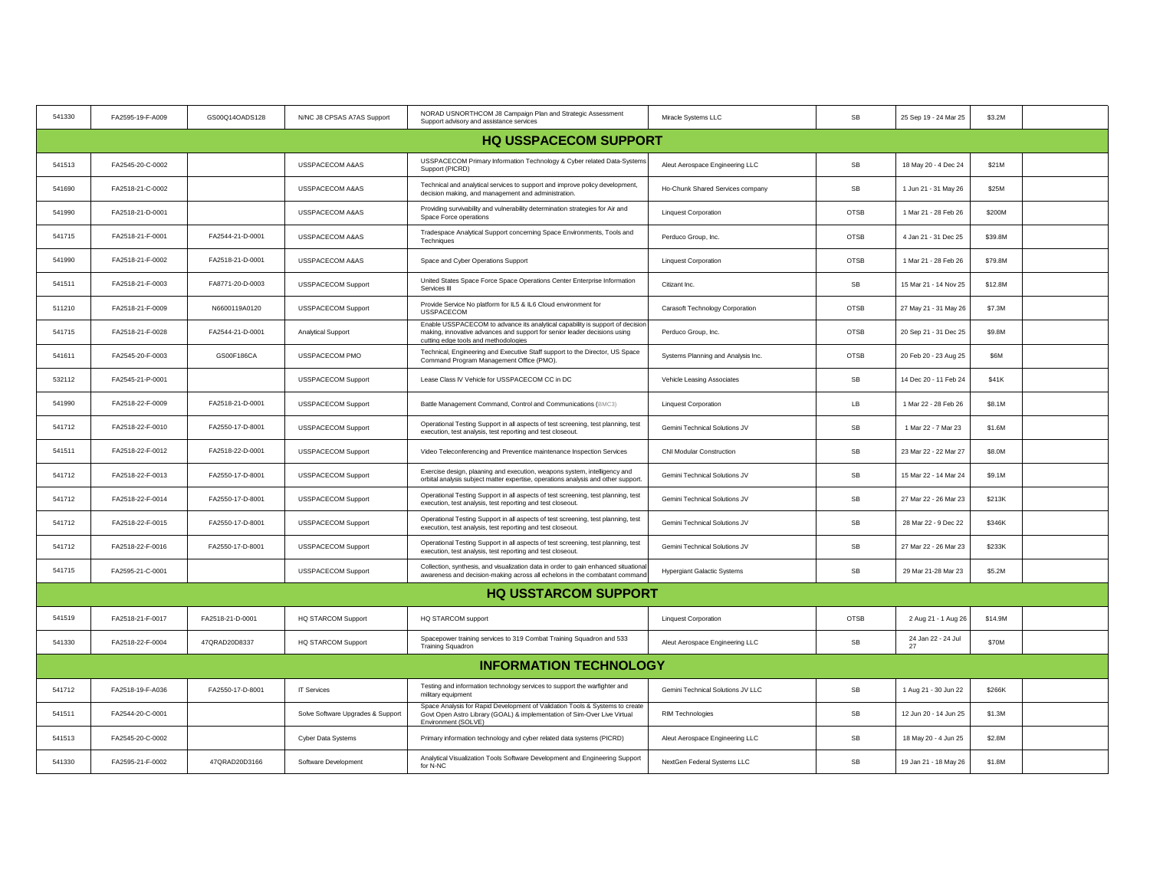| 541330 | FA2595-19-F-A009 | GS00Q14OADS128   | N/NC J8 CPSAS A7AS Support        | NORAD USNORTHCOM J8 Campaign Plan and Strategic Assessment<br>Support advisory and assistance services                                                                                             | Miracle Systems LLC                  | SB          | 25 Sep 19 - 24 Mar 25    | \$3.2M  |  |
|--------|------------------|------------------|-----------------------------------|----------------------------------------------------------------------------------------------------------------------------------------------------------------------------------------------------|--------------------------------------|-------------|--------------------------|---------|--|
|        |                  |                  |                                   | <b>HQ USSPACECOM SUPPORT</b>                                                                                                                                                                       |                                      |             |                          |         |  |
| 541513 | FA2545-20-C-0002 |                  | USSPACECOM A&AS                   | USSPACECOM Primary Information Technology & Cyber related Data-Systems<br>Support (PICRD)                                                                                                          | Aleut Aerospace Engineering LLC      | SB          | 18 May 20 - 4 Dec 24     | \$21M   |  |
| 541690 | FA2518-21-C-0002 |                  | USSPACECOM A&AS                   | Technical and analytical services to support and improve policy development,<br>decision making, and management and administration.                                                                | Ho-Chunk Shared Services company     | SB          | 1 Jun 21 - 31 May 26     | \$25M   |  |
| 541990 | FA2518-21-D-0001 |                  | USSPACECOM A&AS                   | Providing survivability and vulnerability determination strategies for Air and<br>Space Force operations                                                                                           | <b>Linquest Corporation</b>          | <b>OTSB</b> | 1 Mar 21 - 28 Feb 26     | \$200M  |  |
| 541715 | FA2518-21-F-0001 | FA2544-21-D-0001 | USSPACECOM A&AS                   | Tradespace Analytical Support concerning Space Environments, Tools and<br>Techniques                                                                                                               | Perduco Group, Inc.                  | <b>OTSB</b> | 4 Jan 21 - 31 Dec 25     | \$39.8M |  |
| 541990 | FA2518-21-F-0002 | FA2518-21-D-0001 | USSPACECOM A&AS                   | Space and Cyber Operations Support                                                                                                                                                                 | <b>Linquest Corporation</b>          | <b>OTSB</b> | 1 Mar 21 - 28 Feb 26     | \$79.8M |  |
| 541511 | FA2518-21-F-0003 | FA8771-20-D-0003 | <b>USSPACECOM Support</b>         | United States Space Force Space Operations Center Enterprise Information<br>Services III                                                                                                           | Citizant Inc.                        | SB          | 15 Mar 21 - 14 Nov 25    | \$12.8M |  |
| 511210 | FA2518-21-F-0009 | N6600119A0120    | <b>USSPACECOM Support</b>         | Provide Service No platform for IL5 & IL6 Cloud environment for<br><b>USSPACECOM</b>                                                                                                               | Carasoft Technology Corporation      | <b>OTSB</b> | 27 May 21 - 31 May 26    | \$7.3M  |  |
| 541715 | FA2518-21-F-0028 | FA2544-21-D-0001 | Analytical Support                | Enable USSPACECOM to advance its analytical capability is support of decision<br>making, innovative advances and support for senior leader decisions using<br>cutting edge tools and methodologies | Perduco Group, Inc.                  | <b>OTSB</b> | 20 Sep 21 - 31 Dec 25    | \$9.8M  |  |
| 541611 | FA2545-20-F-0003 | GS00F186CA       | USSPACECOM PMO                    | Technical, Engineering and Executive Staff support to the Director, US Space<br>Command Program Management Office (PMO).                                                                           | Systems Planning and Analysis Inc.   | <b>OTSB</b> | 20 Feb 20 - 23 Aug 25    | \$6M    |  |
| 532112 | FA2545-21-P-0001 |                  | <b>USSPACECOM Support</b>         | Lease Class IV Vehicle for USSPACECOM CC in DC                                                                                                                                                     | Vehicle Leasing Associates           | SB          | 14 Dec 20 - 11 Feb 24    | \$41K   |  |
| 541990 | FA2518-22-F-0009 | FA2518-21-D-0001 | <b>USSPACECOM Support</b>         | Battle Management Command, Control and Communications (BMC3)                                                                                                                                       | <b>Linquest Corporation</b>          | LB          | 1 Mar 22 - 28 Feb 26     | \$8.1M  |  |
| 541712 | FA2518-22-F-0010 | FA2550-17-D-8001 | USSPACECOM Support                | Operational Testing Support in all aspects of test screening, test planning, test<br>execution, test analysis, test reporting and test closeout.                                                   | <b>Gemini Technical Solutions JV</b> | SB          | 1 Mar 22 - 7 Mar 23      | \$1.6M  |  |
| 541511 | FA2518-22-F-0012 | FA2518-22-D-0001 | <b>USSPACECOM Support</b>         | Video Teleconferencing and Preventice maintenance Inspection Services                                                                                                                              | <b>CNI Modular Construction</b>      | SB          | 23 Mar 22 - 22 Mar 27    | \$8.0M  |  |
| 541712 | FA2518-22-F-0013 | FA2550-17-D-8001 | <b>USSPACECOM Support</b>         | Exercise design, plaaning and execution, weapons system, intelligency and<br>orbital analysis subject matter expertise, operations analysis and other support.                                     | Gemini Technical Solutions JV        | SB          | 15 Mar 22 - 14 Mar 24    | \$9.1M  |  |
| 541712 | FA2518-22-F-0014 | FA2550-17-D-8001 | USSPACECOM Support                | Operational Testing Support in all aspects of test screening, test planning, test<br>execution, test analysis, test reporting and test closeout.                                                   | Gemini Technical Solutions JV        | SB          | 27 Mar 22 - 26 Mar 23    | \$213K  |  |
| 541712 | FA2518-22-F-0015 | FA2550-17-D-8001 | <b>USSPACECOM Support</b>         | Operational Testing Support in all aspects of test screening, test planning, test<br>execution, test analysis, test reporting and test closeout.                                                   | Gemini Technical Solutions JV        | SB          | 28 Mar 22 - 9 Dec 22     | \$346K  |  |
| 541712 | FA2518-22-F-0016 | FA2550-17-D-8001 | <b>USSPACECOM Support</b>         | Operational Testing Support in all aspects of test screening, test planning, test<br>execution, test analysis, test reporting and test closeout.                                                   | Gemini Technical Solutions JV        | SB          | 27 Mar 22 - 26 Mar 23    | \$233K  |  |
| 541715 | FA2595-21-C-0001 |                  | <b>USSPACECOM Support</b>         | Collection, synthesis, and visualization data in order to gain enhanced situational<br>awareness and decision-making across all echelons in the combatant command                                  | <b>Hypergiant Galactic Systems</b>   | <b>SB</b>   | 29 Mar 21-28 Mar 23      | \$5.2M  |  |
|        |                  |                  |                                   | <b>HQ USSTARCOM SUPPORT</b>                                                                                                                                                                        |                                      |             |                          |         |  |
| 541519 | FA2518-21-F-0017 | FA2518-21-D-0001 | <b>HQ STARCOM Support</b>         | HQ STARCOM support                                                                                                                                                                                 | <b>Linquest Corporation</b>          | OTSB        | 2 Aug 21 - 1 Aug 26      | \$14.9M |  |
| 541330 | FA2518-22-F-0004 | 47QRAD20D8337    | HQ STARCOM Support                | Spacepower training services to 319 Combat Training Squadron and 533<br><b>Training Squadron</b>                                                                                                   | Aleut Aerospace Engineering LLC      | SB          | 24 Jan 22 - 24 Jul<br>27 | \$70M   |  |
|        |                  |                  |                                   | <b>INFORMATION TECHNOLOGY</b>                                                                                                                                                                      |                                      |             |                          |         |  |
| 541712 | FA2518-19-F-A036 | FA2550-17-D-8001 | <b>IT Services</b>                | Testing and information technology services to support the warfighter and<br>military equipment                                                                                                    | Gemini Technical Solutions JV LLC    | SB          | 1 Aug 21 - 30 Jun 22     | \$266K  |  |
| 541511 | FA2544-20-C-0001 |                  | Solve Software Upgrades & Support | Space Analysis for Rapid Development of Validation Tools & Systems to create<br>Govt Open Astro Library (GOAL) & implementation of Sim-Over Live Virtual<br>Environment (SOLVE)                    | <b>RIM Technologies</b>              | SB          | 12 Jun 20 - 14 Jun 25    | \$1.3M  |  |
| 541513 | FA2545-20-C-0002 |                  | Cyber Data Systems                | Primary information technology and cyber related data systems (PICRD)                                                                                                                              | Aleut Aerospace Engineering LLC      | SB          | 18 May 20 - 4 Jun 25     | \$2.8M  |  |
| 541330 | FA2595-21-F-0002 | 47QRAD20D3166    | Software Development              | Analytical Visualization Tools Software Development and Engineering Support<br>for N-NC                                                                                                            | NextGen Federal Systems LLC          | SB          | 19 Jan 21 - 18 May 26    | \$1.8M  |  |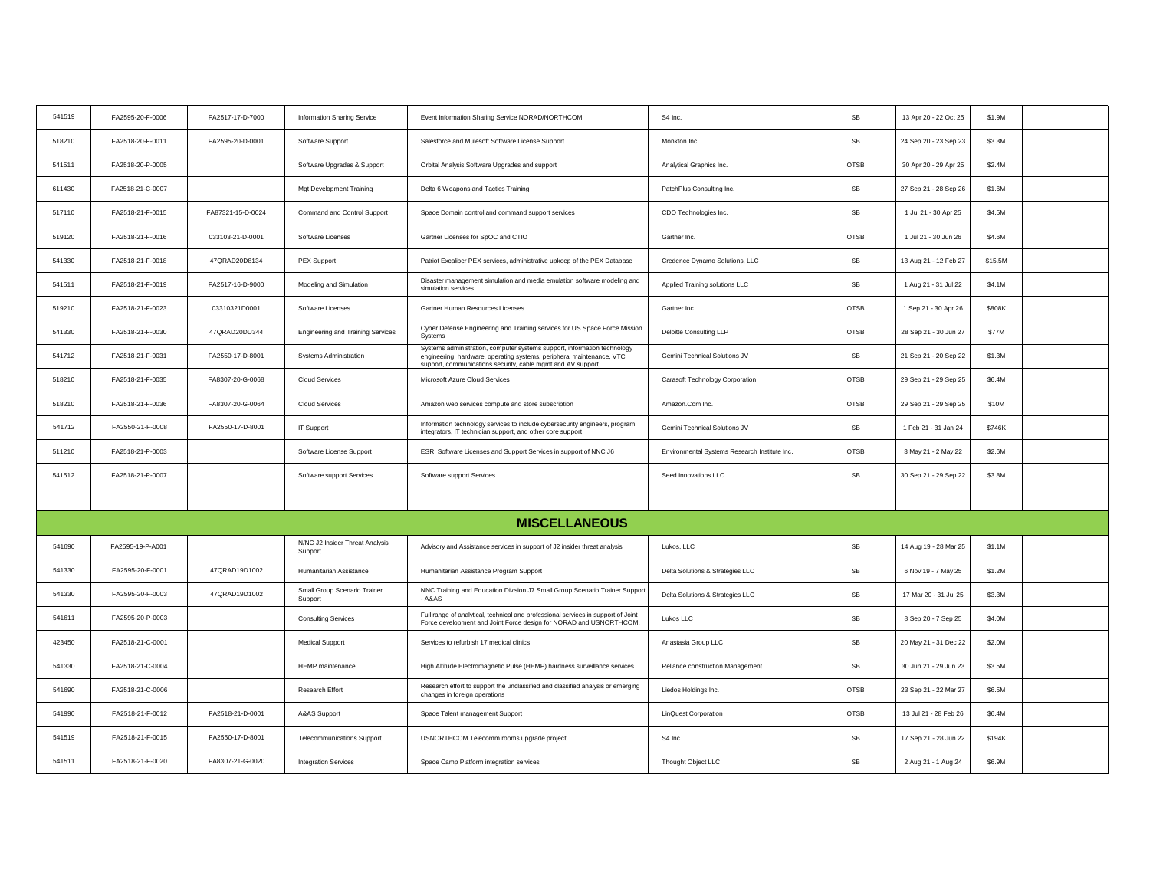| 541519 | FA2595-20-F-0006 | FA2517-17-D-7000  | Information Sharing Service                | Event Information Sharing Service NORAD/NORTHCOM                                                                                                                                                                 | S4 Inc.                                       | SB                   | 13 Apr 20 - 22 Oct 25 | \$1.9M  |  |
|--------|------------------|-------------------|--------------------------------------------|------------------------------------------------------------------------------------------------------------------------------------------------------------------------------------------------------------------|-----------------------------------------------|----------------------|-----------------------|---------|--|
| 518210 | FA2518-20-F-0011 | FA2595-20-D-0001  | Software Support                           | Salesforce and Mulesoft Software License Support                                                                                                                                                                 | Monkton Inc.                                  | SB                   | 24 Sep 20 - 23 Sep 23 | \$3.3M  |  |
| 541511 | FA2518-20-P-0005 |                   | Software Upgrades & Support                | Orbital Analysis Software Upgrades and support                                                                                                                                                                   | Analytical Graphics Inc.                      | OTSB                 | 30 Apr 20 - 29 Apr 25 | \$2.4M  |  |
| 611430 | FA2518-21-C-0007 |                   | Mgt Development Training                   | Delta 6 Weapons and Tactics Training                                                                                                                                                                             | PatchPlus Consulting Inc.                     | SB                   | 27 Sep 21 - 28 Sep 26 | \$1.6M  |  |
| 517110 | FA2518-21-F-0015 | FA87321-15-D-0024 | Command and Control Support                | Space Domain control and command support services                                                                                                                                                                | CDO Technologies Inc.                         | SB                   | 1 Jul 21 - 30 Apr 25  | \$4.5M  |  |
| 519120 | FA2518-21-F-0016 | 033103-21-D-0001  | Software Licenses                          | Gartner Licenses for SpOC and CTIO                                                                                                                                                                               | Gartner Inc.                                  | OTSB                 | 1 Jul 21 - 30 Jun 26  | \$4.6M  |  |
| 541330 | FA2518-21-F-0018 | 47QRAD20D8134     | PEX Support                                | Patriot Excaliber PEX services, administrative upkeep of the PEX Database                                                                                                                                        | Credence Dynamo Solutions, LLC                | SB                   | 13 Aug 21 - 12 Feb 27 | \$15.5M |  |
| 541511 | FA2518-21-F-0019 | FA2517-16-D-9000  | Modeling and Simulation                    | Disaster management simulation and media emulation software modeling and<br>simulation services                                                                                                                  | Applied Training solutions LLC                | SB                   | 1 Aug 21 - 31 Jul 22  | \$4.1M  |  |
| 519210 | FA2518-21-F-0023 | 03310321D0001     | Software Licenses                          | Gartner Human Resources Licenses                                                                                                                                                                                 | Gartner Inc.                                  | <b>OTSB</b>          | 1 Sep 21 - 30 Apr 26  | \$808K  |  |
| 541330 | FA2518-21-F-0030 | 47QRAD20DU344     | <b>Engineering and Training Services</b>   | Cyber Defense Engineering and Training services for US Space Force Mission<br>Systems                                                                                                                            | Deloitte Consulting LLP                       | OTSB                 | 28 Sep 21 - 30 Jun 27 | \$77M   |  |
| 541712 | FA2518-21-F-0031 | FA2550-17-D-8001  | Systems Administration                     | Systems administration, computer systems support, information technology<br>engineering, hardware, operating systems, peripheral maintenance, VTC<br>support, communications security, cable mgmt and AV support | Gemini Technical Solutions JV                 | SB                   | 21 Sep 21 - 20 Sep 22 | \$1.3M  |  |
| 518210 | FA2518-21-F-0035 | FA8307-20-G-0068  | Cloud Services                             | Microsoft Azure Cloud Services                                                                                                                                                                                   | Carasoft Technology Corporation               | OTSB                 | 29 Sep 21 - 29 Sep 25 | \$6.4M  |  |
| 518210 | FA2518-21-F-0036 | FA8307-20-G-0064  | <b>Cloud Services</b>                      | Amazon web services compute and store subscription                                                                                                                                                               | Amazon.Com Inc.                               | OTSB                 | 29 Sep 21 - 29 Sep 25 | \$10M   |  |
| 541712 | FA2550-21-F-0008 | FA2550-17-D-8001  | IT Support                                 | Information technology services to include cybersecurity engineers, program<br>integrators, IT technician support, and other core support                                                                        | Gemini Technical Solutions JV                 | SB                   | 1 Feb 21 - 31 Jan 24  | \$746K  |  |
| 511210 | FA2518-21-P-0003 |                   | Software License Support                   | ESRI Software Licenses and Support Services in support of NNC J6                                                                                                                                                 | Environmental Systems Research Institute Inc. | OTSB                 | 3 May 21 - 2 May 22   | \$2.6M  |  |
| 541512 | FA2518-21-P-0007 |                   | Software support Services                  | Software support Services                                                                                                                                                                                        | Seed Innovations LLC                          | SB                   | 30 Sep 21 - 29 Sep 22 | \$3.8M  |  |
|        |                  |                   |                                            |                                                                                                                                                                                                                  |                                               |                      |                       |         |  |
|        |                  |                   |                                            | <b>MISCELLANEOUS</b>                                                                                                                                                                                             |                                               |                      |                       |         |  |
| 541690 | FA2595-19-P-A001 |                   | N/NC J2 Insider Threat Analysis<br>Support | Advisory and Assistance services in support of J2 insider threat analysis                                                                                                                                        | Lukos, LLC                                    | $\mathsf{SB}\xspace$ | 14 Aug 19 - 28 Mar 25 | \$1.1M  |  |
| 541330 | FA2595-20-F-0001 | 47QRAD19D1002     | Humanitarian Assistance                    | Humanitarian Assistance Program Support                                                                                                                                                                          | Delta Solutions & Strategies LLC              | SB                   | 6 Nov 19 - 7 May 25   | \$1.2M  |  |
| 541330 | FA2595-20-F-0003 | 47QRAD19D1002     | Small Group Scenario Trainer<br>Support    | NNC Training and Education Division J7 Small Group Scenario Trainer Support<br>$- A8AS$                                                                                                                          | Delta Solutions & Strategies LLC              | SB                   | 17 Mar 20 - 31 Jul 25 | \$3.3M  |  |
| 541611 | FA2595-20-P-0003 |                   | <b>Consulting Services</b>                 | Full range of analytical, technical and professional services in support of Joint<br>Force development and Joint Force design for NORAD and USNORTHCOM.                                                          | Lukos LLC                                     | SB                   | 8 Sep 20 - 7 Sep 25   | \$4.0M  |  |
| 423450 | FA2518-21-C-0001 |                   | <b>Medical Support</b>                     | Services to refurbish 17 medical clinics                                                                                                                                                                         | Anastasia Group LLC                           | SB                   | 20 May 21 - 31 Dec 22 | \$2.0M  |  |
| 541330 | FA2518-21-C-0004 |                   | <b>HEMP</b> maintenance                    | High Altitude Electromagnetic Pulse (HEMP) hardness surveillance services                                                                                                                                        | Reliance construction Management              | SB                   | 30 Jun 21 - 29 Jun 23 | \$3.5M  |  |
| 541690 | FA2518-21-C-0006 |                   | Research Effort                            | Research effort to support the unclassified and classified analysis or emerging<br>changes in foreign operations                                                                                                 | Liedos Holdings Inc.                          | <b>OTSB</b>          | 23 Sep 21 - 22 Mar 27 | \$6.5M  |  |
| 541990 | FA2518-21-F-0012 | FA2518-21-D-0001  | A&AS Support                               | Space Talent management Support                                                                                                                                                                                  | <b>LinQuest Corporation</b>                   | <b>OTSB</b>          | 13 Jul 21 - 28 Feb 26 | \$6.4M  |  |
| 541519 | FA2518-21-F-0015 | FA2550-17-D-8001  | <b>Telecommunications Support</b>          | USNORTHCOM Telecomm rooms upgrade project                                                                                                                                                                        | S4 Inc.                                       | SB                   | 17 Sep 21 - 28 Jun 22 | \$194K  |  |
| 541511 | FA2518-21-F-0020 | FA8307-21-G-0020  | <b>Integration Services</b>                | Space Camp Platform integration services                                                                                                                                                                         | Thought Object LLC                            | SB                   | 2 Aug 21 - 1 Aug 24   | \$6.9M  |  |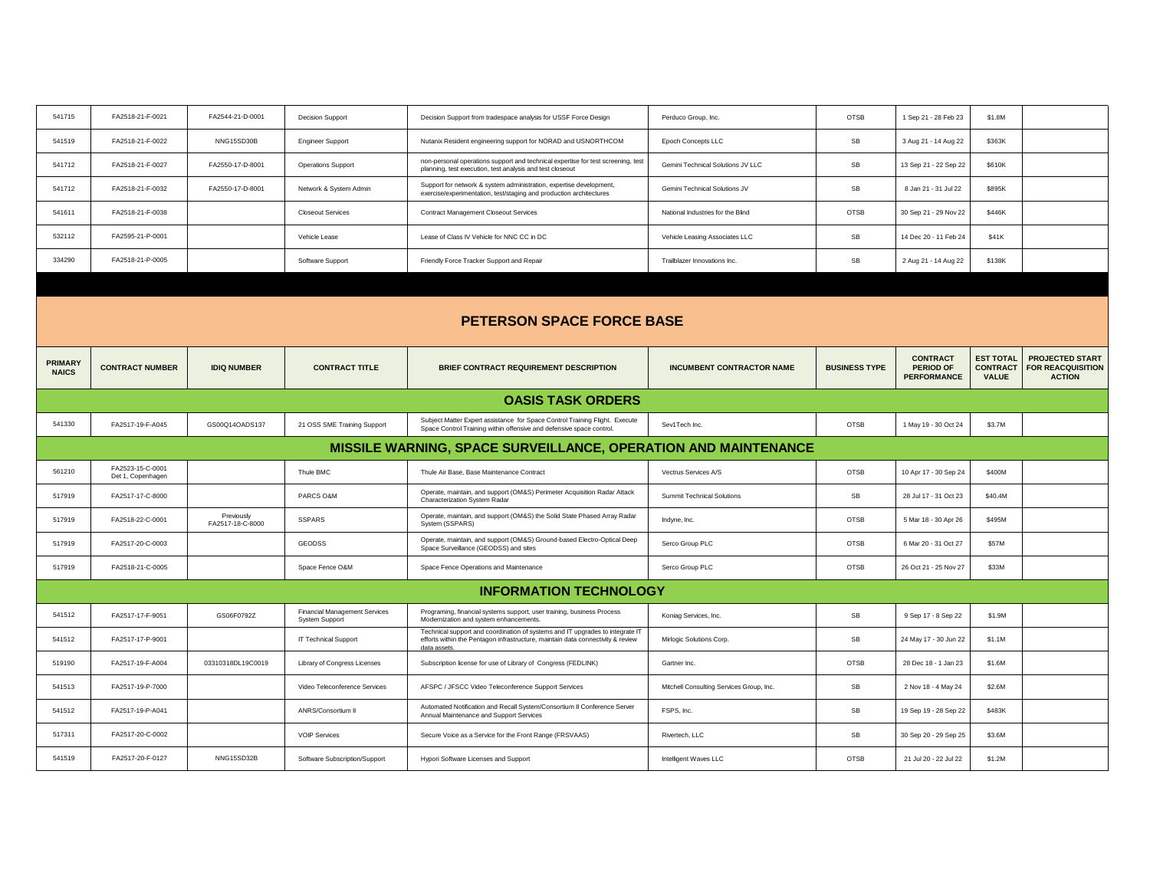| 541715 | FA2518-21-F-0021 | FA2544-21-D-0001 | <b>Decision Support</b>   | Decision Support from tradespace analysis for USSF Force Design                                                                               | Perduco Group, Inc.               | <b>OTSB</b> | 1 Sep 21 - 28 Feb 23  | \$1.8M |  |
|--------|------------------|------------------|---------------------------|-----------------------------------------------------------------------------------------------------------------------------------------------|-----------------------------------|-------------|-----------------------|--------|--|
| 541519 | FA2518-21-F-0022 | NNG15SD30B       | <b>Engineer Support</b>   | Nutanix Resident engineering support for NORAD and USNORTHCOM                                                                                 | Epoch Concepts LLC                | <b>SB</b>   | 3 Aug 21 - 14 Aug 22  | \$363K |  |
| 541712 | FA2518-21-F-0027 | FA2550-17-D-8001 | <b>Operations Support</b> | non-personal operations support and technical expertise for test screening, test<br>planning, test execution, test analysis and test closeout | Gemini Technical Solutions JV LLC | <b>SB</b>   | 13 Sep 21 - 22 Sep 22 | \$610K |  |
| 541712 | FA2518-21-F-0032 | FA2550-17-D-8001 | Network & System Admin    | Support for network & system administration, expertise development,<br>exercise/experimentation, test/staging and production architectures    | Gemini Technical Solutions JV     | <b>SB</b>   | 8 Jan 21 - 31 Jul 22  | \$895K |  |
| 541611 | FA2518-21-F-0038 |                  | <b>Closeout Services</b>  | Contract Management Closeout Services                                                                                                         | National Industries for the Blind | <b>OTSB</b> | 30 Sep 21 - 29 Nov 22 | \$446K |  |
| 532112 | FA2595-21-P-0001 |                  | Vehicle Lease             | Lease of Class IV Vehicle for NNC CC in DC                                                                                                    | Vehicle Leasing Associates LLC    | <b>SB</b>   | 14 Dec 20 - 11 Feb 24 | \$41K  |  |
| 334290 | FA2518-21-P-0005 |                  | Software Support          | Friendly Force Tracker Support and Repair                                                                                                     | Trailblazer Innovations Inc.      | <b>SB</b>   | 2 Aug 21 - 14 Aug 22  | \$138K |  |
|        |                  |                  |                           |                                                                                                                                               |                                   |             |                       |        |  |

|                                | <b>PETERSON SPACE FORCE BASE</b>                                      |                                |                                                               |                                                                                                                                                                                  |                                          |                      |                                                    |                                                     |                                                                     |  |  |  |
|--------------------------------|-----------------------------------------------------------------------|--------------------------------|---------------------------------------------------------------|----------------------------------------------------------------------------------------------------------------------------------------------------------------------------------|------------------------------------------|----------------------|----------------------------------------------------|-----------------------------------------------------|---------------------------------------------------------------------|--|--|--|
| <b>PRIMARY</b><br><b>NAICS</b> | <b>CONTRACT NUMBER</b>                                                | <b>IDIO NUMBER</b>             | <b>CONTRACT TITLE</b>                                         | <b>BRIEF CONTRACT REQUIREMENT DESCRIPTION</b>                                                                                                                                    | <b>INCUMBENT CONTRACTOR NAME</b>         | <b>BUSINESS TYPE</b> | <b>CONTRACT</b><br>PERIOD OF<br><b>PERFORMANCE</b> | <b>EST TOTAL</b><br><b>CONTRACT</b><br><b>VALUE</b> | <b>PROJECTED START</b><br><b>FOR REACQUISITION</b><br><b>ACTION</b> |  |  |  |
|                                |                                                                       |                                |                                                               | <b>OASIS TASK ORDERS</b>                                                                                                                                                         |                                          |                      |                                                    |                                                     |                                                                     |  |  |  |
| 541330                         | FA2517-19-F-A045                                                      | GS00Q14OADS137                 | 21 OSS SME Training Support                                   | Subject Matter Expert assistance for Space Control Training Flight. Execute<br>Space Control Training within offensive and defensive space control.                              | Sev1Tech Inc.                            | <b>OTSB</b>          | 1 May 19 - 30 Oct 24                               | \$3.7M                                              |                                                                     |  |  |  |
|                                | <b>MISSILE WARNING, SPACE SURVEILLANCE, OPERATION AND MAINTENANCE</b> |                                |                                                               |                                                                                                                                                                                  |                                          |                      |                                                    |                                                     |                                                                     |  |  |  |
| 561210                         | FA2523-15-C-0001<br>Det 1, Copenhagen                                 |                                | Thule BMC                                                     | Thule Air Base, Base Maintenance Contract                                                                                                                                        | Vectrus Services A/S                     | OTSB                 | 10 Apr 17 - 30 Sep 24                              | \$400M                                              |                                                                     |  |  |  |
| 517919                         | FA2517-17-C-8000                                                      |                                | PARCS O&M                                                     | Operate, maintain, and support (OM&S) Perimeter Acquisition Radar Attack<br>Characterization System Radar                                                                        | <b>Summit Technical Solutions</b>        | <b>SB</b>            | 28 Jul 17 - 31 Oct 23                              | \$40.4M                                             |                                                                     |  |  |  |
| 517919                         | FA2518-22-C-0001                                                      | Previously<br>FA2517-18-C-8000 | <b>SSPARS</b>                                                 | Operate, maintain, and support (OM&S) the Solid State Phased Array Radar<br>System (SSPARS)                                                                                      | Indyne, Inc.                             | <b>OTSB</b>          | 5 Mar 18 - 30 Apr 26                               | \$495M                                              |                                                                     |  |  |  |
| 517919                         | FA2517-20-C-0003                                                      |                                | <b>GEODSS</b>                                                 | Operate, maintain, and support (OM&S) Ground-based Electro-Optical Deep<br>Space Surveillance (GEODSS) and sites                                                                 | Serco Group PLC                          | <b>OTSB</b>          | 6 Mar 20 - 31 Oct 27                               | \$57M                                               |                                                                     |  |  |  |
| 517919                         | FA2518-21-C-0005                                                      |                                | Space Fence O&M                                               | Space Fence Operations and Maintenance                                                                                                                                           | Serco Group PLC                          | <b>OTSB</b>          | 26 Oct 21 - 25 Nov 27                              | \$33M                                               |                                                                     |  |  |  |
|                                |                                                                       |                                |                                                               | <b>INFORMATION TECHNOLOGY</b>                                                                                                                                                    |                                          |                      |                                                    |                                                     |                                                                     |  |  |  |
| 541512                         | FA2517-17-F-9051                                                      | GS06F0792Z                     | <b>Financial Management Services</b><br><b>System Support</b> | Programing, financial systems support, user training, business Process<br>Modernization and system enhancements.                                                                 | Koniag Services, Inc.                    | SB                   | 9 Sep 17 - 8 Sep 22                                | \$1.9M                                              |                                                                     |  |  |  |
| 541512                         | FA2517-17-P-9001                                                      |                                | <b>IT Technical Support</b>                                   | Technical support and coordination of systems and IT upgrades to integrate IT<br>efforts within the Pentagon infrastructure, maintain data connectivity & review<br>data assets. | Mirlogic Solutions Corp.                 | SB                   | 24 May 17 - 30 Jun 22                              | \$1.1M                                              |                                                                     |  |  |  |
| 519190                         | FA2517-19-F-A004                                                      | 03310318DL19C0019              | Library of Congress Licenses                                  | Subscription license for use of Library of Congress (FEDLINK)                                                                                                                    | Gartner Inc.                             | <b>OTSB</b>          | 28 Dec 18 - 1 Jan 23                               | \$1.6M                                              |                                                                     |  |  |  |
| 541513                         | FA2517-19-P-7000                                                      |                                | Video Teleconference Services                                 | AFSPC / JFSCC Video Teleconference Support Services                                                                                                                              | Mitchell Consulting Services Group, Inc. | <b>SB</b>            | 2 Nov 18 - 4 May 24                                | \$2.6M                                              |                                                                     |  |  |  |
| 541512                         | FA2517-19-P-A041                                                      |                                | <b>ANRS/Consortium II</b>                                     | Automated Notification and Recall System/Consortium II Conference Server<br>Annual Maintenance and Support Services                                                              | FSPS, Inc.                               | <b>SB</b>            | 19 Sep 19 - 28 Sep 22                              | \$483K                                              |                                                                     |  |  |  |
| 517311                         | FA2517-20-C-0002                                                      |                                | <b>VOIP Services</b>                                          | Secure Voice as a Service for the Front Range (FRSVAAS)                                                                                                                          | Rivertech, LLC                           | <b>SB</b>            | 30 Sep 20 - 29 Sep 25                              | \$3.6M                                              |                                                                     |  |  |  |
| 541519                         | FA2517-20-F-0127                                                      | NNG15SD32B                     | Software Subscription/Support                                 | Hypori Software Licenses and Support                                                                                                                                             | Intelligent Waves LLC                    | <b>OTSB</b>          | 21 Jul 20 - 22 Jul 22                              | \$1.2M                                              |                                                                     |  |  |  |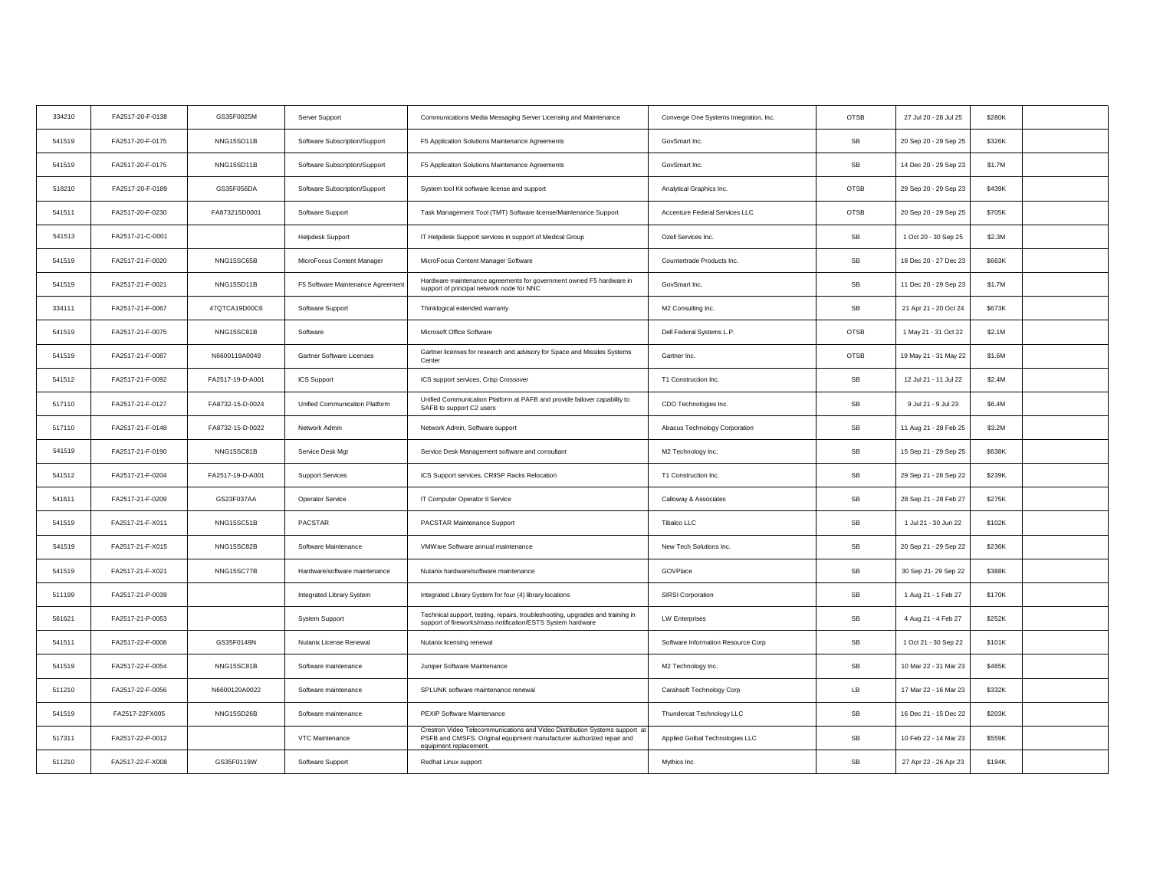| FA2517-20-F-0175<br>541519<br>NNG15SD11B<br>Software Subscription/Support<br>GovSmart Inc.<br>SB<br>20 Sep 20 - 29 Sep 25<br>F5 Application Solutions Maintenance Agreements<br>FA2517-20-F-0175<br>NNG15SD11B<br>F5 Application Solutions Maintenance Agreements<br>GovSmart Inc.<br>SB<br>14 Dec 20 - 29 Sep 23<br>541519<br>Software Subscription/Support<br>GS35F056DA<br>518210<br>FA2517-20-F-0189<br><b>OTSB</b><br>Software Subscription/Support<br>System tool Kit software license and support<br>Analytical Graphics Inc.<br>29 Sep 20 - 29 Sep 23<br>FA2517-20-F-0230<br>OTSB<br>541511<br>FA873215D0001<br>Software Support<br>Task Management Tool (TMT) Software license/Maintenance Support<br>Accenture Federal Services LLC<br>20 Sep 20 - 29 Sep 25<br>SB<br>541513<br>FA2517-21-C-0001<br><b>Helpdesk Support</b><br>IT Helpdesk Support services in support of Medical Group<br>Ozell Services Inc.<br>1 Oct 20 - 30 Sep 25 | \$326K<br>\$1.7M<br>\$439K<br>\$705K<br>\$2.3M<br>\$663K<br>\$1.7M |
|--------------------------------------------------------------------------------------------------------------------------------------------------------------------------------------------------------------------------------------------------------------------------------------------------------------------------------------------------------------------------------------------------------------------------------------------------------------------------------------------------------------------------------------------------------------------------------------------------------------------------------------------------------------------------------------------------------------------------------------------------------------------------------------------------------------------------------------------------------------------------------------------------------------------------------------------------|--------------------------------------------------------------------|
|                                                                                                                                                                                                                                                                                                                                                                                                                                                                                                                                                                                                                                                                                                                                                                                                                                                                                                                                                  |                                                                    |
|                                                                                                                                                                                                                                                                                                                                                                                                                                                                                                                                                                                                                                                                                                                                                                                                                                                                                                                                                  |                                                                    |
|                                                                                                                                                                                                                                                                                                                                                                                                                                                                                                                                                                                                                                                                                                                                                                                                                                                                                                                                                  |                                                                    |
|                                                                                                                                                                                                                                                                                                                                                                                                                                                                                                                                                                                                                                                                                                                                                                                                                                                                                                                                                  |                                                                    |
|                                                                                                                                                                                                                                                                                                                                                                                                                                                                                                                                                                                                                                                                                                                                                                                                                                                                                                                                                  |                                                                    |
| SB<br>541519<br>FA2517-21-F-0020<br>NNG15SC65B<br>Countertrade Products Inc.<br>18 Dec 20 - 27 Dec 23<br>MicroFocus Content Manager<br>MicroFocus Content Manager Software                                                                                                                                                                                                                                                                                                                                                                                                                                                                                                                                                                                                                                                                                                                                                                       |                                                                    |
| Hardware maintenance agreements for government owned F5 hardware in<br>SB<br>541519<br>FA2517-21-F-0021<br>NNG15SD11B<br>F5 Software Maintenance Agreement<br>GovSmart Inc.<br>11 Dec 20 - 29 Sep 23<br>support of principal network node for NNC                                                                                                                                                                                                                                                                                                                                                                                                                                                                                                                                                                                                                                                                                                |                                                                    |
| SB<br>334111<br>FA2517-21-F-0067<br>47QTCA19D00C6<br>Software Support<br>Thinklogical extended warranty<br>M2 Consulting Inc.<br>21 Apr 21 - 20 Oct 24                                                                                                                                                                                                                                                                                                                                                                                                                                                                                                                                                                                                                                                                                                                                                                                           | \$673K                                                             |
| 541519<br>FA2517-21-F-0075<br>NNG15SC81B<br>Microsoft Office Software<br><b>OTSB</b><br>1 May 21 - 31 Oct 22<br>Software<br>Dell Federal Systems L.P.                                                                                                                                                                                                                                                                                                                                                                                                                                                                                                                                                                                                                                                                                                                                                                                            | \$2.1M                                                             |
| Gartner licenses for research and advisory for Space and Missiles Systems<br>OTSB<br>541519<br>FA2517-21-F-0087<br>N6600119A0049<br>Gartner Software Licenses<br>Gartner Inc.<br>19 May 21 - 31 May 22<br>Center                                                                                                                                                                                                                                                                                                                                                                                                                                                                                                                                                                                                                                                                                                                                 | \$1.6M                                                             |
| SB<br>541512<br>FA2517-21-F-0092<br>FA2517-19-D-A001<br>ICS Support<br>ICS support services, Crisp Crossover<br>T1 Construction Inc.<br>12 Jul 21 - 11 Jul 22                                                                                                                                                                                                                                                                                                                                                                                                                                                                                                                                                                                                                                                                                                                                                                                    | \$2.4M                                                             |
| Unified Communication Platform at PAFB and provide failover capability to<br>517110<br>FA2517-21-F-0127<br>FA8732-15-D-0024<br>Unified Communication Platform<br>CDO Technologies Inc.<br><b>SB</b><br>9 Jul 21 - 9 Jul 23<br>SAFB to support C2 users                                                                                                                                                                                                                                                                                                                                                                                                                                                                                                                                                                                                                                                                                           | \$6.4M                                                             |
| 517110<br>FA2517-21-F-0148<br>FA8732-15-D-0022<br>Network Admin<br>Network Admin, Software support<br>Abacus Technology Corporation<br>SB<br>11 Aug 21 - 28 Feb 25                                                                                                                                                                                                                                                                                                                                                                                                                                                                                                                                                                                                                                                                                                                                                                               | \$3.2M                                                             |
| 541519<br>${\sf SB}$<br>FA2517-21-F-0190<br>NNG15SC81B<br>Service Desk Mgt<br>15 Sep 21 - 29 Sep 25<br>Service Desk Management software and consultant<br>M2 Technology Inc.                                                                                                                                                                                                                                                                                                                                                                                                                                                                                                                                                                                                                                                                                                                                                                     | \$638K                                                             |
| SB<br>541512<br>FA2517-21-F-0204<br>FA2517-19-D-A001<br>Support Services<br>ICS Support services, CRIISP Racks Relocation<br>T1 Construction Inc.<br>29 Sep 21 - 28 Sep 22                                                                                                                                                                                                                                                                                                                                                                                                                                                                                                                                                                                                                                                                                                                                                                       | \$239K                                                             |
| FA2517-21-F-0209<br>GS23F037AA<br>Operator Service<br>IT Computer Operator II Service<br>Calloway & Associates<br>SB<br>28 Sep 21 - 28 Feb 27<br>541611                                                                                                                                                                                                                                                                                                                                                                                                                                                                                                                                                                                                                                                                                                                                                                                          | \$275K                                                             |
| PACSTAR<br>${\sf SB}$<br>541519<br>FA2517-21-F-X011<br>NNG15SC51B<br>PACSTAR Maintenance Support<br>Tibalco LLC<br>1 Jul 21 - 30 Jun 22                                                                                                                                                                                                                                                                                                                                                                                                                                                                                                                                                                                                                                                                                                                                                                                                          | \$102K                                                             |
| FA2517-21-F-X015<br>NNG15SC82B<br>Software Maintenance<br>New Tech Solutions Inc.<br>SB<br>20 Sep 21 - 29 Sep 22<br>541519<br>VMWare Software annual maintenance                                                                                                                                                                                                                                                                                                                                                                                                                                                                                                                                                                                                                                                                                                                                                                                 | \$236K                                                             |
| SB<br>541519<br>FA2517-21-F-X021<br>NNG15SC77B<br>Hardware/software maintenance<br>Nutanix hardware/software maintenance<br>GOVPlace<br>30 Sep 21-29 Sep 22                                                                                                                                                                                                                                                                                                                                                                                                                                                                                                                                                                                                                                                                                                                                                                                      | \$388K                                                             |
| 511199<br>FA2517-21-P-0039<br>${\sf SB}$<br>Integrated Library System for four (4) library locations<br>SIRSI Corporation<br>1 Aug 21 - 1 Feb 27<br>Integrated Library System                                                                                                                                                                                                                                                                                                                                                                                                                                                                                                                                                                                                                                                                                                                                                                    | \$170K                                                             |
| Technical support, testing, repairs, troubleshooting, upgrades and training in<br>FA2517-21-P-0053<br>SB<br>4 Aug 21 - 4 Feb 27<br>561621<br><b>System Support</b><br><b>LW Enterprises</b><br>support of fireworks/mass notification/ESTS System hardware                                                                                                                                                                                                                                                                                                                                                                                                                                                                                                                                                                                                                                                                                       | \$252K                                                             |
| SB<br>541511<br>FA2517-22-F-0008<br>GS35F0149N<br>Nutanix License Renewal<br>Nutanix licensing renewal<br>Software Information Resource Corp<br>1 Oct 21 - 30 Sep 22                                                                                                                                                                                                                                                                                                                                                                                                                                                                                                                                                                                                                                                                                                                                                                             | \$101K                                                             |
| FA2517-22-F-0054<br>NNG15SC81B<br>${\sf SB}$<br>10 Mar 22 - 31 Mar 23<br>541519<br>Software maintenance<br>Juniper Software Maintenance<br>M2 Technology Inc.                                                                                                                                                                                                                                                                                                                                                                                                                                                                                                                                                                                                                                                                                                                                                                                    | \$465K                                                             |
| FA2517-22-F-0056<br>Carahsoft Technology Corp<br>LB<br>17 Mar 22 - 16 Mar 23<br>511210<br>N6600120A0022<br>Software maintenance<br>SPLUNK software maintenance renewal                                                                                                                                                                                                                                                                                                                                                                                                                                                                                                                                                                                                                                                                                                                                                                           | \$332K                                                             |
| SB<br>FA2517-22FX005<br>NNG15SD26B<br>PEXIP Software Maintenance<br>16 Dec 21 - 15 Dec 22<br>541519<br>Software maintenance<br>Thundercat Technology LLC                                                                                                                                                                                                                                                                                                                                                                                                                                                                                                                                                                                                                                                                                                                                                                                         | \$203K                                                             |
| Crestron Video Telecommunications and Video Distribution Systems support at<br>FA2517-22-P-0012<br>SB<br>10 Feb 22 - 14 Mar 23<br>517311<br>VTC Maintenance<br>Applied Golbal Technologies LLC<br>PSFB and CMSFS. Original equipment manufacturer authorized repair and<br>equipment replacement.                                                                                                                                                                                                                                                                                                                                                                                                                                                                                                                                                                                                                                                | \$559K                                                             |
| 511210<br>FA2517-22-F-X008<br>GS35F0119W<br>Software Support<br>Redhat Linux support<br>Mythics Inc<br>SB<br>27 Apr 22 - 26 Apr 23                                                                                                                                                                                                                                                                                                                                                                                                                                                                                                                                                                                                                                                                                                                                                                                                               | \$194K                                                             |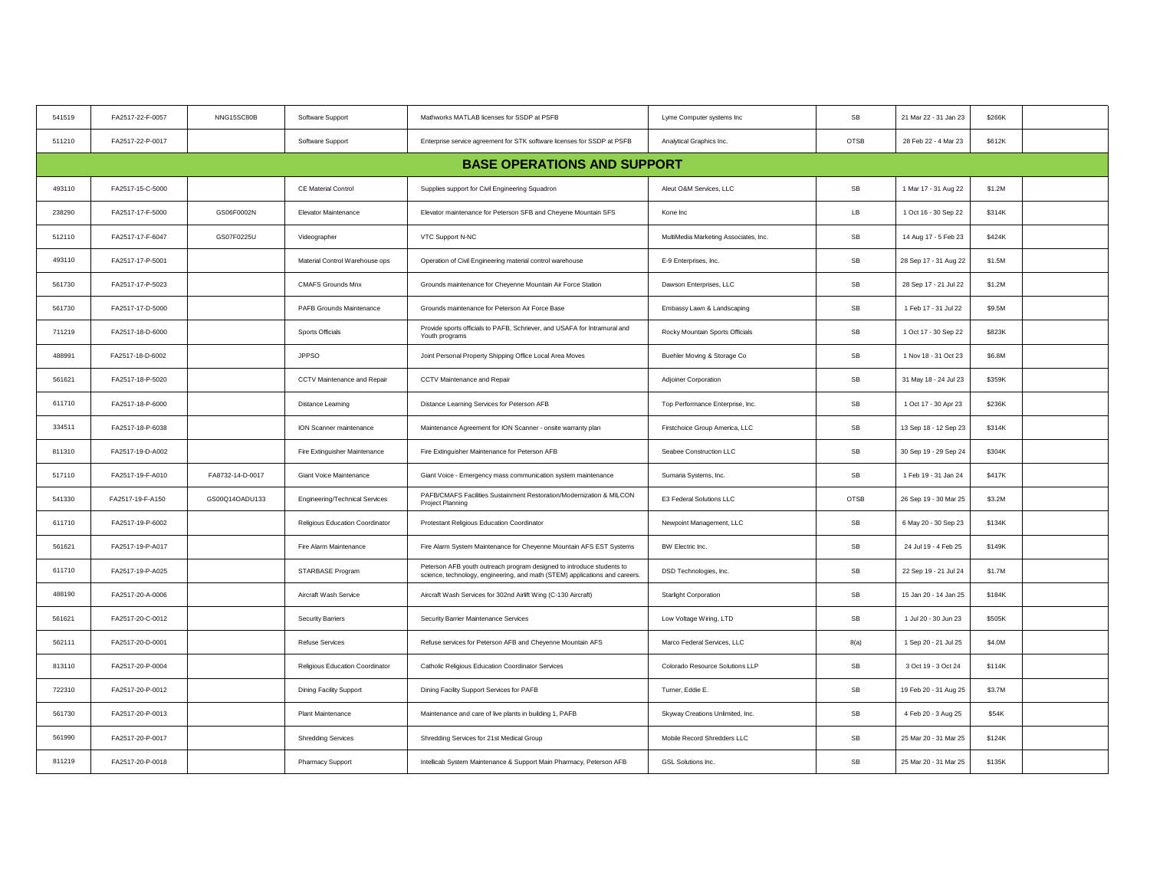| 541519 | FA2517-22-F-0057 | NNG15SC80B       | Software Support                | Mathworks MATLAB licenses for SSDP at PSFB                                                                                                           | Lyme Computer systems Inc             | SB                   | 21 Mar 22 - 31 Jan 23 | \$266K |  |
|--------|------------------|------------------|---------------------------------|------------------------------------------------------------------------------------------------------------------------------------------------------|---------------------------------------|----------------------|-----------------------|--------|--|
| 511210 | FA2517-22-P-0017 |                  | Software Support                | Enterprise service agreement for STK software licenses for SSDP at PSFB                                                                              | Analytical Graphics Inc.              | OTSB                 | 28 Feb 22 - 4 Mar 23  | \$612K |  |
|        |                  |                  |                                 | <b>BASE OPERATIONS AND SUPPORT</b>                                                                                                                   |                                       |                      |                       |        |  |
| 493110 | FA2517-15-C-5000 |                  | CE Material Control             | Supplies support for Civil Engineering Squadron                                                                                                      | Aleut O&M Services, LLC               | SB                   | 1 Mar 17 - 31 Aug 22  | \$1.2M |  |
| 238290 | FA2517-17-F-5000 | GS06F0002N       | Elevator Maintenance            | Elevator maintenance for Peterson SFB and Cheyene Mountain SFS                                                                                       | Kone Inc                              | LB                   | 1 Oct 16 - 30 Sep 22  | \$314K |  |
| 512110 | FA2517-17-F-6047 | GS07F0225U       | Videographer                    | VTC Support N-NC                                                                                                                                     | MultiMedia Marketing Associates, Inc. | SB                   | 14 Aug 17 - 5 Feb 23  | \$424K |  |
| 493110 | FA2517-17-P-5001 |                  | Material Control Warehouse ops  | Operation of Civil Engineering material control warehouse                                                                                            | E-9 Enterprises, Inc.                 | SB                   | 28 Sep 17 - 31 Aug 22 | \$1.5M |  |
| 561730 | FA2517-17-P-5023 |                  | <b>CMAFS Grounds Mnx</b>        | Grounds maintenance for Cheyenne Mountain Air Force Station                                                                                          | Dawson Enterprises, LLC               | $\mathsf{SB}\xspace$ | 28 Sep 17 - 21 Jul 22 | \$1.2M |  |
| 561730 | FA2517-17-D-5000 |                  | PAFB Grounds Maintenance        | Grounds maintenance for Peterson Air Force Base                                                                                                      | Embassy Lawn & Landscaping            | SB                   | 1 Feb 17 - 31 Jul 22  | \$9.5M |  |
| 711219 | FA2517-18-D-6000 |                  | Sports Officials                | Provide sports officials to PAFB, Schriever, and USAFA for Intramural and<br>Youth programs                                                          | Rocky Mountain Sports Officials       | SB                   | 1 Oct 17 - 30 Sep 22  | \$823K |  |
| 488991 | FA2517-18-D-6002 |                  | <b>JPPSO</b>                    | Joint Personal Property Shipping Office Local Area Moves                                                                                             | Buehler Moving & Storage Co           | SB                   | 1 Nov 18 - 31 Oct 23  | \$6.8M |  |
| 561621 | FA2517-18-P-5020 |                  | CCTV Maintenance and Repair     | CCTV Maintenance and Repair                                                                                                                          | Adjoiner Corporation                  | $\mathsf{SB}\xspace$ | 31 May 18 - 24 Jul 23 | \$359K |  |
| 611710 | FA2517-18-P-6000 |                  | Distance Learning               | Distance Learning Services for Peterson AFB                                                                                                          | Top Performance Enterprise, Inc.      | SB                   | 1 Oct 17 - 30 Apr 23  | \$236K |  |
| 334511 | FA2517-18-P-6038 |                  | ION Scanner maintenance         | Maintenance Agreement for ION Scanner - onsite warranty plan                                                                                         | Firstchoice Group America, LLC        | SB                   | 13 Sep 18 - 12 Sep 23 | \$314K |  |
| 811310 | FA2517-19-D-A002 |                  | Fire Extinguisher Maintenance   | Fire Extinguisher Maintenance for Peterson AFB                                                                                                       | Seabee Construction LLC               | SB                   | 30 Sep 19 - 29 Sep 24 | \$304K |  |
| 517110 | FA2517-19-F-A010 | FA8732-14-D-0017 | Giant Voice Maintenance         | Giant Voice - Emergency mass communication system maintenance                                                                                        | Sumaria Systems, Inc.                 | SB                   | 1 Feb 19 - 31 Jan 24  | \$417K |  |
| 541330 | FA2517-19-F-A150 | GS00Q14OADU133   | Engineering/Technical Services  | PAFB/CMAFS Facilities Sustainment Restoration/Modernization & MILCON<br>Project Planning                                                             | E3 Federal Solutions LLC              | OTSB                 | 26 Sep 19 - 30 Mar 25 | \$3.2M |  |
| 611710 | FA2517-19-P-6002 |                  | Religious Education Coordinator | Protestant Religious Education Coordinator                                                                                                           | Newpoint Management, LLC              | SB                   | 6 May 20 - 30 Sep 23  | \$134K |  |
| 561621 | FA2517-19-P-A017 |                  | Fire Alarm Maintenance          | Fire Alarm System Maintenance for Cheyenne Mountain AFS EST Systems                                                                                  | BW Electric Inc.                      | SB                   | 24 Jul 19 - 4 Feb 25  | \$149K |  |
| 611710 | FA2517-19-P-A025 |                  | STARBASE Program                | Peterson AFB youth outreach program designed to introduce students to<br>science, technology, engineering, and math (STEM) applications and careers. | DSD Technologies, Inc.                | SB                   | 22 Sep 19 - 21 Jul 24 | \$1.7M |  |
| 488190 | FA2517-20-A-0006 |                  | Aircraft Wash Service           | Aircraft Wash Services for 302nd Airlift Wing (C-130 Aircraft)                                                                                       | Starlight Corporation                 | $\mathsf{SB}\xspace$ | 15 Jan 20 - 14 Jan 25 | \$184K |  |
| 561621 | FA2517-20-C-0012 |                  | Security Barriers               | Security Barrier Maintenance Services                                                                                                                | Low Voltage Wiring, LTD               | SB                   | 1 Jul 20 - 30 Jun 23  | \$505K |  |
| 562111 | FA2517-20-D-0001 |                  | <b>Refuse Services</b>          | Refuse services for Peterson AFB and Cheyenne Mountain AFS                                                                                           | Marco Federal Services, LLC           | 8(a)                 | 1 Sep 20 - 21 Jul 25  | \$4.0M |  |
| 813110 | FA2517-20-P-0004 |                  | Religious Education Coordinator | Catholic Religious Education Coordinator Services                                                                                                    | Colorado Resource Solutions LLP       | $\mathsf{SB}\xspace$ | 3 Oct 19 - 3 Oct 24   | \$114K |  |
| 722310 | FA2517-20-P-0012 |                  | Dining Facility Support         | Dining Facility Support Services for PAFB                                                                                                            | Turner, Eddie E.                      | SB                   | 19 Feb 20 - 31 Aug 25 | \$3.7M |  |
| 561730 | FA2517-20-P-0013 |                  | Plant Maintenance               | Maintenance and care of live plants in building 1, PAFB                                                                                              | Skyway Creations Unlimited, Inc.      | SB                   | 4 Feb 20 - 3 Aug 25   | \$54K  |  |
| 561990 | FA2517-20-P-0017 |                  | <b>Shredding Services</b>       | Shredding Services for 21st Medical Group                                                                                                            | Mobile Record Shredders LLC           | $\mathsf{SB}\xspace$ | 25 Mar 20 - 31 Mar 25 | \$124K |  |
| 811219 | FA2517-20-P-0018 |                  | Pharmacy Support                | Intellicab System Maintenance & Support Main Pharmacy, Peterson AFB                                                                                  | <b>GSL Solutions Inc.</b>             | SB                   | 25 Mar 20 - 31 Mar 25 | \$135K |  |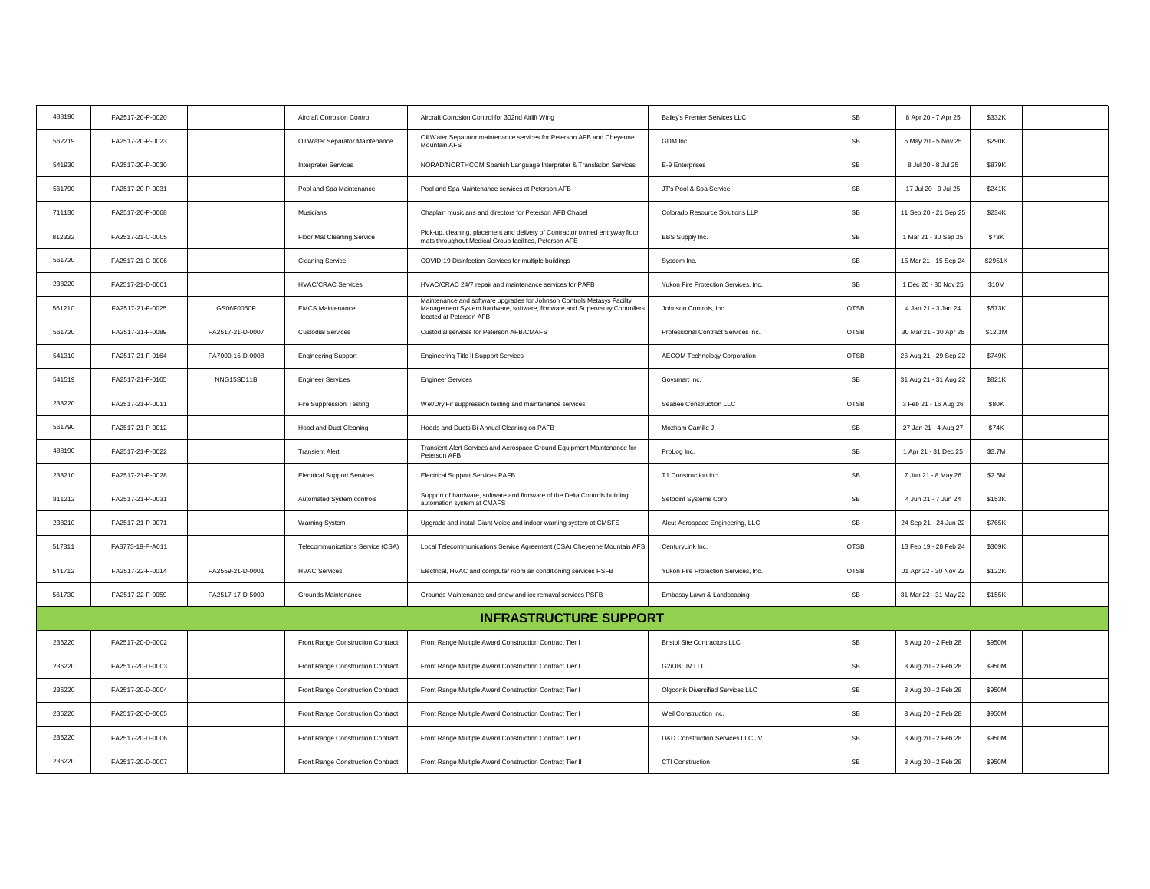| 488190 | FA2517-20-P-0020 |                  | Aircraft Corrosion Control         | Aircraft Corrosion Control for 302nd Airlift Wing                                                                                                                                | Bailey's Premier Services LLC        | <b>SB</b>            | 8 Apr 20 - 7 Apr 25   | \$332K  |  |
|--------|------------------|------------------|------------------------------------|----------------------------------------------------------------------------------------------------------------------------------------------------------------------------------|--------------------------------------|----------------------|-----------------------|---------|--|
| 562219 | FA2517-20-P-0023 |                  | Oil Water Separator Maintenance    | Oil Water Separator maintenance services for Peterson AFB and Cheyenne<br>Mountain AFS                                                                                           | GDM Inc.                             | SB                   | 5 May 20 - 5 Nov 25   | \$290K  |  |
| 541930 | FA2517-20-P-0030 |                  | <b>Interpreter Services</b>        | NORAD/NORTHCOM Spanish Language Interpreter & Translation Services                                                                                                               | E-9 Enterprises                      | SB                   | 8 Jul 20 - 8 Jul 25   | \$879K  |  |
| 561790 | FA2517-20-P-0031 |                  | Pool and Spa Maintenance           | Pool and Spa Maintenance services at Peterson AFB                                                                                                                                | JT's Pool & Spa Service              | SB                   | 17 Jul 20 - 9 Jul 25  | \$241K  |  |
| 711130 | FA2517-20-P-0068 |                  | Musicians                          | Chaplain musicians and directors for Peterson AFB Chapel                                                                                                                         | Colorado Resource Solutions LLP      | SB                   | 11 Sep 20 - 21 Sep 25 | \$234K  |  |
| 812332 | FA2517-21-C-0005 |                  | Floor Mat Cleaning Service         | Pick-up, cleaning, placement and delivery of Contractor owned entryway floor<br>mats throughout Medical Group facilities, Peterson AFB                                           | EBS Supply Inc.                      | $\mathsf{SB}\xspace$ | 1 Mar 21 - 30 Sep 25  | \$73K   |  |
| 561720 | FA2517-21-C-0006 |                  | <b>Cleaning Service</b>            | COVID-19 Disinfection Services for multiple buildings                                                                                                                            | Syscom Inc.                          | SB                   | 15 Mar 21 - 15 Sep 24 | \$2951K |  |
| 238220 | FA2517-21-D-0001 |                  | <b>HVAC/CRAC Services</b>          | HVAC/CRAC 24/7 repair and maintenance services for PAFB                                                                                                                          | Yukon Fire Protection Services, Inc. | SB                   | 1 Dec 20 - 30 Nov 25  | \$10M   |  |
| 561210 | FA2517-21-F-0025 | GS06F0060P       | <b>EMCS Maintenance</b>            | Maintenance and software upgrades for Johnson Controls Metasys Facility<br>Management System hardware, software, firmware and Supervisory Controllers<br>located at Peterson AFB | Johnson Controls, Inc.               | OTSB                 | 4 Jan 21 - 3 Jan 24   | \$573K  |  |
| 561720 | FA2517-21-F-0089 | FA2517-21-D-0007 | <b>Custodial Services</b>          | Custodial services for Peterson AFB/CMAFS                                                                                                                                        | Professional Contract Services Inc.  | OTSB                 | 30 Mar 21 - 30 Apr 26 | \$12.3M |  |
| 541310 | FA2517-21-F-0164 | FA7000-16-D-0008 | <b>Engineering Support</b>         | <b>Engineering Title II Support Services</b>                                                                                                                                     | <b>AECOM Technology Corporation</b>  | <b>OTSB</b>          | 26 Aug 21 - 29 Sep 22 | \$749K  |  |
| 541519 | FA2517-21-F-0165 | NNG15SD11B       | <b>Engineer Services</b>           | <b>Engineer Services</b>                                                                                                                                                         | Govsmart Inc.                        | SB                   | 31 Aug 21 - 31 Aug 22 | \$821K  |  |
| 238220 | FA2517-21-P-0011 |                  | Fire Suppression Testing           | Wet/Dry Fir suppression testing and maintenance services                                                                                                                         | Seabee Construction LLC              | <b>OTSB</b>          | 3 Feb 21 - 16 Aug 26  | \$80K   |  |
| 561790 | FA2517-21-P-0012 |                  | <b>Hood and Duct Cleaning</b>      | Hoods and Ducts Bi-Annual Cleaning on PAFB                                                                                                                                       | Mozham Camille J                     | SB                   | 27 Jan 21 - 4 Aug 27  | \$74K   |  |
| 488190 | FA2517-21-P-0022 |                  | <b>Transient Alert</b>             | Transient Alert Services and Aerospace Ground Equipment Maintenance for<br>Peterson AFB                                                                                          | ProLog Inc.                          | $\mathsf{SB}\xspace$ | 1 Apr 21 - 31 Dec 25  | \$3.7M  |  |
| 238210 | FA2517-21-P-0028 |                  | <b>Electrical Support Services</b> | <b>Electrical Support Services PAFB</b>                                                                                                                                          | T1 Construction Inc.                 | SB                   | 7 Jun 21 - 8 May 26   | \$2.5M  |  |
| 811212 | FA2517-21-P-0031 |                  | Automated System controls          | Support of hardware, software and firmware of the Delta Controls building<br>automation system at CMAFS                                                                          | Setpoint Systems Corp                | SB                   | 4 Jun 21 - 7 Jun 24   | \$153K  |  |
| 238210 | FA2517-21-P-0071 |                  | Warning System                     | Upgrade and install Giant Voice and indoor warning system at CMSFS                                                                                                               | Aleut Aerospace Engineering, LLC     | SB                   | 24 Sep 21 - 24 Jun 22 | \$765K  |  |
| 517311 | FA8773-19-P-A011 |                  | Telecommunications Service (CSA)   | Local Telecommunications Service Agreement (CSA) Cheyenne Mountain AFS                                                                                                           | CenturyLink Inc.                     | OTSB                 | 13 Feb 19 - 28 Feb 24 | \$309K  |  |
| 541712 | FA2517-22-F-0014 | FA2559-21-D-0001 | <b>HVAC Services</b>               | Electrical, HVAC and computer room air conditioning services PSFB                                                                                                                | Yukon Fire Protection Services, Inc. | <b>OTSB</b>          | 01 Apr 22 - 30 Nov 22 | \$122K  |  |
| 561730 | FA2517-22-F-0059 | FA2517-17-D-5000 | Grounds Maintenance                | Grounds Maintenance and snow and ice remaval services PSFB                                                                                                                       | Embassy Lawn & Landscaping           | SB                   | 31 Mar 22 - 31 May 22 | \$155K  |  |
|        |                  |                  |                                    | <b>INFRASTRUCTURE SUPPORT</b>                                                                                                                                                    |                                      |                      |                       |         |  |
| 236220 | FA2517-20-D-0002 |                  | Front Range Construction Contract  | Front Range Multiple Award Construction Contract Tier I                                                                                                                          | <b>Bristol Site Contractors LLC</b>  | SB                   | 3 Aug 20 - 2 Feb 28   | \$950M  |  |
| 236220 | FA2517-20-D-0003 |                  | Front Range Construction Contract  | Front Range Multiple Award Construction Contract Tier I                                                                                                                          | G2i/JBI JV LLC                       | SB                   | 3 Aug 20 - 2 Feb 28   | \$950M  |  |
| 236220 | FA2517-20-D-0004 |                  | Front Range Construction Contract  | Front Range Multiple Award Construction Contract Tier I                                                                                                                          | Olgoonik Diversified Services LLC    | SB                   | 3 Aug 20 - 2 Feb 28   | \$950M  |  |
| 236220 | FA2517-20-D-0005 |                  | Front Range Construction Contract  | Front Range Multiple Award Construction Contract Tier I                                                                                                                          | Weil Construction Inc.               | SB                   | 3 Aug 20 - 2 Feb 28   | \$950M  |  |
| 236220 | FA2517-20-D-0006 |                  | Front Range Construction Contract  | Front Range Multiple Award Construction Contract Tier I                                                                                                                          | D&D Construction Services LLC JV     | SB                   | 3 Aug 20 - 2 Feb 28   | \$950M  |  |
| 236220 | FA2517-20-D-0007 |                  | Front Range Construction Contract  | Front Range Multiple Award Construction Contract Tier II                                                                                                                         | CTI Construction                     | SB                   | 3 Aug 20 - 2 Feb 28   | \$950M  |  |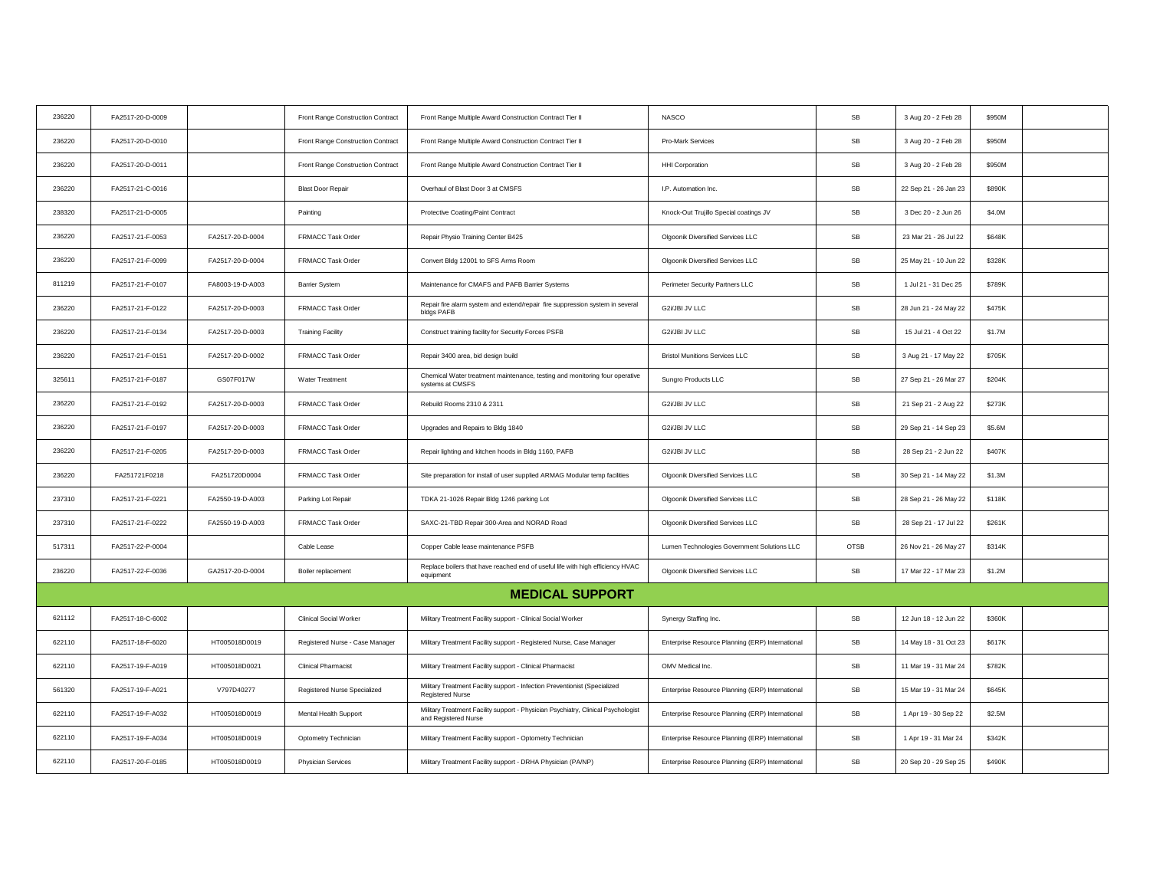| 236220 | FA2517-20-D-0009 |                  | Front Range Construction Contract | Front Range Multiple Award Construction Contract Tier II                                                  | <b>NASCO</b>                                     | SB          | 3 Aug 20 - 2 Feb 28   | \$950M |
|--------|------------------|------------------|-----------------------------------|-----------------------------------------------------------------------------------------------------------|--------------------------------------------------|-------------|-----------------------|--------|
| 236220 | FA2517-20-D-0010 |                  | Front Range Construction Contract | Front Range Multiple Award Construction Contract Tier II                                                  | Pro-Mark Services                                | SB          | 3 Aug 20 - 2 Feb 28   | \$950M |
| 236220 | FA2517-20-D-0011 |                  | Front Range Construction Contract | Front Range Multiple Award Construction Contract Tier II                                                  | <b>HHI Corporation</b>                           | ${\sf SB}$  | 3 Aug 20 - 2 Feb 28   | \$950M |
| 236220 | FA2517-21-C-0016 |                  | <b>Blast Door Repair</b>          | Overhaul of Blast Door 3 at CMSFS                                                                         | I.P. Automation Inc.                             | SB          | 22 Sep 21 - 26 Jan 23 | \$890K |
| 238320 | FA2517-21-D-0005 |                  | Painting                          | Protective Coating/Paint Contract                                                                         | Knock-Out Trujillo Special coatings JV           | SB          | 3 Dec 20 - 2 Jun 26   | \$4.0M |
| 236220 | FA2517-21-F-0053 | FA2517-20-D-0004 | FRMACC Task Order                 | Repair Physio Training Center B425                                                                        | Olgoonik Diversified Services LLC                | SB          | 23 Mar 21 - 26 Jul 22 | \$648K |
| 236220 | FA2517-21-F-0099 | FA2517-20-D-0004 | FRMACC Task Order                 | Convert Bldg 12001 to SFS Arms Room                                                                       | Olgoonik Diversified Services LLC                | SB          | 25 May 21 - 10 Jun 22 | \$328K |
| 811219 | FA2517-21-F-0107 | FA8003-19-D-A003 | <b>Barrier System</b>             | Maintenance for CMAFS and PAFB Barrier Systems                                                            | Perimeter Security Partners LLC                  | SB          | 1 Jul 21 - 31 Dec 25  | \$789K |
| 236220 | FA2517-21-F-0122 | FA2517-20-D-0003 | FRMACC Task Order                 | Repair fire alarm system and extend/repair fire suppression system in several<br>bldgs PAFB               | G2i/JBI JV LLC                                   | SB          | 28 Jun 21 - 24 May 22 | \$475K |
| 236220 | FA2517-21-F-0134 | FA2517-20-D-0003 | <b>Training Facility</b>          | Construct training facility for Security Forces PSFB                                                      | G2i/JBI JV LLC                                   | ${\sf SB}$  | 15 Jul 21 - 4 Oct 22  | \$1.7M |
| 236220 | FA2517-21-F-0151 | FA2517-20-D-0002 | FRMACC Task Order                 | Repair 3400 area, bid design build                                                                        | <b>Bristol Munitions Services LLC</b>            | ${\sf SB}$  | 3 Aug 21 - 17 May 22  | \$705K |
| 325611 | FA2517-21-F-0187 | GS07F017W        | Water Treatment                   | Chemical Water treatment maintenance, testing and monitoring four operative<br>systems at CMSFS           | Sungro Products LLC                              | SB          | 27 Sep 21 - 26 Mar 27 | \$204K |
| 236220 | FA2517-21-F-0192 | FA2517-20-D-0003 | FRMACC Task Order                 | Rebuild Rooms 2310 & 2311                                                                                 | G2i/JBI JV LLC                                   | SB          | 21 Sep 21 - 2 Aug 22  | \$273K |
| 236220 | FA2517-21-F-0197 | FA2517-20-D-0003 | FRMACC Task Order                 | Upgrades and Repairs to Bldg 1840                                                                         | G2i/JBI JV LLC                                   | SB          | 29 Sep 21 - 14 Sep 23 | \$5.6M |
| 236220 | FA2517-21-F-0205 | FA2517-20-D-0003 | FRMACC Task Order                 | Repair lighting and kitchen hoods in Bldg 1160, PAFB                                                      | G2i/JBI JV LLC                                   | SB          | 28 Sep 21 - 2 Jun 22  | \$407K |
| 236220 | FA251721F0218    | FA251720D0004    | FRMACC Task Order                 | Site preparation for install of user supplied ARMAG Modular temp facilities                               | Olgoonik Diversified Services LLC                | SB          | 30 Sep 21 - 14 May 22 | \$1.3M |
| 237310 | FA2517-21-F-0221 | FA2550-19-D-A003 | Parking Lot Repair                | TDKA 21-1026 Repair Bldg 1246 parking Lot                                                                 | Olgoonik Diversified Services LLC                | SB          | 28 Sep 21 - 26 May 22 | \$118K |
| 237310 | FA2517-21-F-0222 | FA2550-19-D-A003 | FRMACC Task Order                 | SAXC-21-TBD Repair 300-Area and NORAD Road                                                                | Olgoonik Diversified Services LLC                | SB          | 28 Sep 21 - 17 Jul 22 | \$261K |
| 517311 | FA2517-22-P-0004 |                  | Cable Lease                       | Copper Cable lease maintenance PSFB                                                                       | Lumen Technologies Government Solutions LLC      | <b>OTSB</b> | 26 Nov 21 - 26 May 27 | \$314K |
| 236220 | FA2517-22-F-0036 | GA2517-20-D-0004 | Boiler replacement                | Replace boilers that have reached end of useful life with high efficiency HVAC<br>equipment               | Olgoonik Diversified Services LLC                | SB          | 17 Mar 22 - 17 Mar 23 | \$1.2M |
|        |                  |                  |                                   | <b>MEDICAL SUPPORT</b>                                                                                    |                                                  |             |                       |        |
| 621112 | FA2517-18-C-6002 |                  | <b>Clinical Social Worker</b>     | Military Treatment Facility support - Clinical Social Worker                                              | Synergy Staffing Inc.                            | SB          | 12 Jun 18 - 12 Jun 22 | \$360K |
| 622110 | FA2517-18-F-6020 | HT005018D0019    | Registered Nurse - Case Manager   | Military Treatment Facility support - Registered Nurse, Case Manager                                      | Enterprise Resource Planning (ERP) International | SB          | 14 May 18 - 31 Oct 23 | \$617K |
| 622110 | FA2517-19-F-A019 | HT005018D0021    | <b>Clinical Pharmacist</b>        | Military Treatment Facility support - Clinical Pharmacist                                                 | OMV Medical Inc.                                 | SB          | 11 Mar 19 - 31 Mar 24 | \$782K |
| 561320 | FA2517-19-F-A021 | V797D40277       | Registered Nurse Specialized      | Military Treatment Facility support - Infection Preventionist (Specialized<br><b>Registered Nurse</b>     | Enterprise Resource Planning (ERP) International | ${\sf SB}$  | 15 Mar 19 - 31 Mar 24 | \$645K |
| 622110 | FA2517-19-F-A032 | HT005018D0019    | Mental Health Support             | Military Treatment Facility support - Physician Psychiatry, Clinical Psychologist<br>and Registered Nurse | Enterprise Resource Planning (ERP) International | ${\sf SB}$  | 1 Apr 19 - 30 Sep 22  | \$2.5M |
| 622110 | FA2517-19-F-A034 | HT005018D0019    | Optometry Technician              | Military Treatment Facility support - Optometry Technician                                                | Enterprise Resource Planning (ERP) International | SB          | 1 Apr 19 - 31 Mar 24  | \$342K |
| 622110 | FA2517-20-F-0185 | HT005018D0019    | <b>Physician Services</b>         | Military Treatment Facility support - DRHA Physician (PA/NP)                                              | Enterprise Resource Planning (ERP) International | SB          | 20 Sep 20 - 29 Sep 25 | \$490K |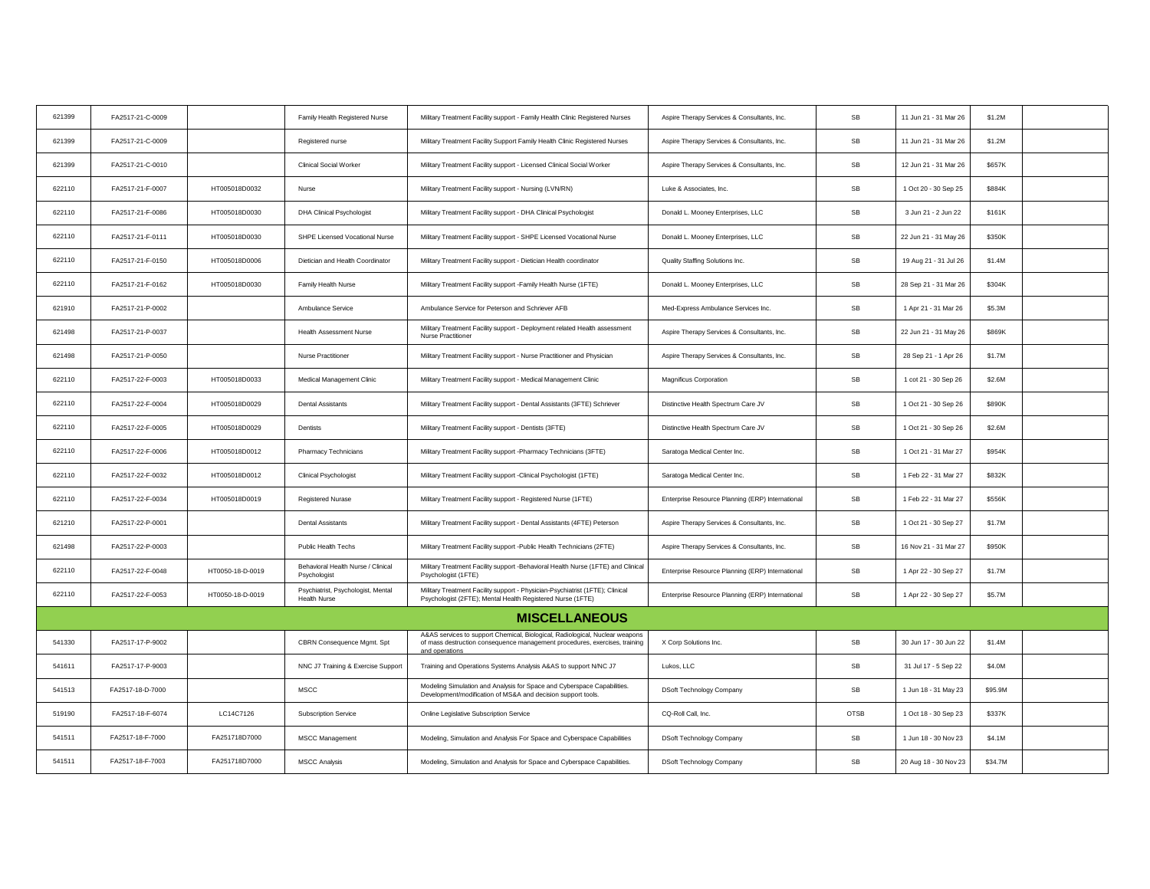| 621399 | FA2517-21-C-0009 |                  | Family Health Registered Nurse                            | Military Treatment Facility support - Family Health Clinic Registered Nurses                                                                                                 | Aspire Therapy Services & Consultants, Inc.      | SB                   | 11 Jun 21 - 31 Mar 26 | \$1.2M  |  |
|--------|------------------|------------------|-----------------------------------------------------------|------------------------------------------------------------------------------------------------------------------------------------------------------------------------------|--------------------------------------------------|----------------------|-----------------------|---------|--|
| 621399 | FA2517-21-C-0009 |                  | Registered nurse                                          | Military Treatment Facility Support Family Health Clinic Registered Nurses                                                                                                   | Aspire Therapy Services & Consultants, Inc.      | SB                   | 11 Jun 21 - 31 Mar 26 | \$1.2M  |  |
| 621399 | FA2517-21-C-0010 |                  | <b>Clinical Social Worker</b>                             | Military Treatment Facility support - Licensed Clinical Social Worker                                                                                                        | Aspire Therapy Services & Consultants, Inc.      | SB                   | 12 Jun 21 - 31 Mar 26 | \$657K  |  |
| 622110 | FA2517-21-F-0007 | HT005018D0032    | Nurse                                                     | Military Treatment Facility support - Nursing (LVN/RN)                                                                                                                       | Luke & Associates, Inc.                          | SB                   | 1 Oct 20 - 30 Sep 25  | \$884K  |  |
| 622110 | FA2517-21-F-0086 | HT005018D0030    | <b>DHA Clinical Psychologist</b>                          | Military Treatment Facility support - DHA Clinical Psychologist                                                                                                              | Donald L. Mooney Enterprises, LLC                | SB                   | 3 Jun 21 - 2 Jun 22   | \$161K  |  |
| 622110 | FA2517-21-F-0111 | HT005018D0030    | SHPE Licensed Vocational Nurse                            | Military Treatment Facility support - SHPE Licensed Vocational Nurse                                                                                                         | Donald L. Mooney Enterprises, LLC                | SB                   | 22 Jun 21 - 31 May 26 | \$350K  |  |
| 622110 | FA2517-21-F-0150 | HT005018D0006    | Dietician and Health Coordinator                          | Military Treatment Facility support - Dietician Health coordinator                                                                                                           | Quality Staffing Solutions Inc.                  | $\mathsf{SB}\xspace$ | 19 Aug 21 - 31 Jul 26 | \$1.4M  |  |
| 622110 | FA2517-21-F-0162 | HT005018D0030    | Family Health Nurse                                       | Military Treatment Facility support -Family Health Nurse (1FTE)                                                                                                              | Donald L. Mooney Enterprises, LLC                | SB                   | 28 Sep 21 - 31 Mar 26 | \$304K  |  |
| 621910 | FA2517-21-P-0002 |                  | Ambulance Service                                         | Ambulance Service for Peterson and Schriever AFB                                                                                                                             | Med-Express Ambulance Services Inc.              | SB                   | 1 Apr 21 - 31 Mar 26  | \$5.3M  |  |
| 621498 | FA2517-21-P-0037 |                  | <b>Health Assessment Nurse</b>                            | Military Treatment Facility support - Deployment related Health assessment<br>Nurse Practitioner                                                                             | Aspire Therapy Services & Consultants, Inc.      | SB                   | 22 Jun 21 - 31 May 26 | \$869K  |  |
| 621498 | FA2517-21-P-0050 |                  | Nurse Practitioner                                        | Military Treatment Facility support - Nurse Practitioner and Physician                                                                                                       | Aspire Therapy Services & Consultants, Inc.      | SB                   | 28 Sep 21 - 1 Apr 26  | \$1.7M  |  |
| 622110 | FA2517-22-F-0003 | HT005018D0033    | Medical Management Clinic                                 | Military Treatment Facility support - Medical Management Clinic                                                                                                              | Magnificus Corporation                           | SB                   | 1 cot 21 - 30 Sep 26  | \$2.6M  |  |
| 622110 | FA2517-22-F-0004 | HT005018D0029    | <b>Dental Assistants</b>                                  | Military Treatment Facility support - Dental Assistants (3FTE) Schriever                                                                                                     | Distinctive Health Spectrum Care JV              | SB                   | 1 Oct 21 - 30 Sep 26  | \$890K  |  |
| 622110 | FA2517-22-F-0005 | HT005018D0029    | Dentists                                                  | Military Treatment Facility support - Dentists (3FTE)                                                                                                                        | Distinctive Health Spectrum Care JV              | SB                   | 1 Oct 21 - 30 Sep 26  | \$2.6M  |  |
| 622110 | FA2517-22-F-0006 | HT005018D0012    | Pharmacy Technicians                                      | Military Treatment Facility support -Pharmacy Technicians (3FTE)                                                                                                             | Saratoga Medical Center Inc.                     | SB                   | 1 Oct 21 - 31 Mar 27  | \$954K  |  |
| 622110 | FA2517-22-F-0032 | HT005018D0012    | Clinical Psychologist                                     | Military Treatment Facility support -Clinical Psychologist (1FTE)                                                                                                            | Saratoga Medical Center Inc.                     | $\mathsf{SB}\xspace$ | 1 Feb 22 - 31 Mar 27  | \$832K  |  |
| 622110 | FA2517-22-F-0034 | HT005018D0019    | <b>Registered Nurase</b>                                  | Military Treatment Facility support - Registered Nurse (1FTE)                                                                                                                | Enterprise Resource Planning (ERP) International | SB                   | 1 Feb 22 - 31 Mar 27  | \$556K  |  |
| 621210 | FA2517-22-P-0001 |                  | <b>Dental Assistants</b>                                  | Military Treatment Facility support - Dental Assistants (4FTE) Peterson                                                                                                      | Aspire Therapy Services & Consultants, Inc.      | SB                   | 1 Oct 21 - 30 Sep 27  | \$1.7M  |  |
| 621498 | FA2517-22-P-0003 |                  | Public Health Techs                                       | Military Treatment Facility support -Public Health Technicians (2FTE)                                                                                                        | Aspire Therapy Services & Consultants, Inc.      | SB                   | 16 Nov 21 - 31 Mar 27 | \$950K  |  |
| 622110 | FA2517-22-F-0048 | HT0050-18-D-0019 | Behavioral Health Nurse / Clinical<br>Psychologist        | Military Treatment Facility support -Behavioral Health Nurse (1FTE) and Clinical<br>Psychologist (1FTE)                                                                      | Enterprise Resource Planning (ERP) International | SB                   | 1 Apr 22 - 30 Sep 27  | \$1.7M  |  |
| 622110 | FA2517-22-F-0053 | HT0050-18-D-0019 | Psychiatrist, Psychologist, Mental<br><b>Health Nurse</b> | Military Treatment Facility support - Physician-Psychiatrist (1FTE); Clinical<br>Psychologist (2FTE); Mental Health Registered Nurse (1FTE)                                  | Enterprise Resource Planning (ERP) International | SB                   | 1 Apr 22 - 30 Sep 27  | \$5.7M  |  |
|        |                  |                  |                                                           | <b>MISCELLANEOUS</b>                                                                                                                                                         |                                                  |                      |                       |         |  |
| 541330 | FA2517-17-P-9002 |                  | CBRN Consequence Mgmt. Spt                                | A&AS services to support Chemical, Biological, Radiological, Nuclear weapons<br>of mass destruction consequence management procedures, exercises, training<br>and operations | X Corp Solutions Inc.                            | SB                   | 30 Jun 17 - 30 Jun 22 | \$1.4M  |  |
| 541611 | FA2517-17-P-9003 |                  | NNC J7 Training & Exercise Support                        | Training and Operations Systems Analysis A&AS to support N/NC J7                                                                                                             | Lukos, LLC                                       | SB                   | 31 Jul 17 - 5 Sep 22  | \$4.0M  |  |
| 541513 | FA2517-18-D-7000 |                  | <b>MSCC</b>                                               | Modeling Simulation and Analysis for Space and Cyberspace Capabilities.<br>Development/modification of MS&A and decision support tools.                                      | DSoft Technology Company                         | SB                   | 1 Jun 18 - 31 May 23  | \$95.9M |  |
| 519190 | FA2517-18-F-6074 | LC14C7126        | Subscription Service                                      | Online Legislative Subscription Service                                                                                                                                      | CQ-Roll Call, Inc.                               | <b>OTSB</b>          | 1 Oct 18 - 30 Sep 23  | \$337K  |  |
| 541511 | FA2517-18-F-7000 | FA251718D7000    | <b>MSCC Management</b>                                    | Modeling, Simulation and Analysis For Space and Cyberspace Capabilities                                                                                                      | DSoft Technology Company                         | SB                   | 1 Jun 18 - 30 Nov 23  | \$4.1M  |  |
| 541511 | FA2517-18-F-7003 | FA251718D7000    | <b>MSCC Analysis</b>                                      | Modeling, Simulation and Analysis for Space and Cyberspace Capabilities.                                                                                                     | DSoft Technology Company                         | SB                   | 20 Aug 18 - 30 Nov 23 | \$34.7M |  |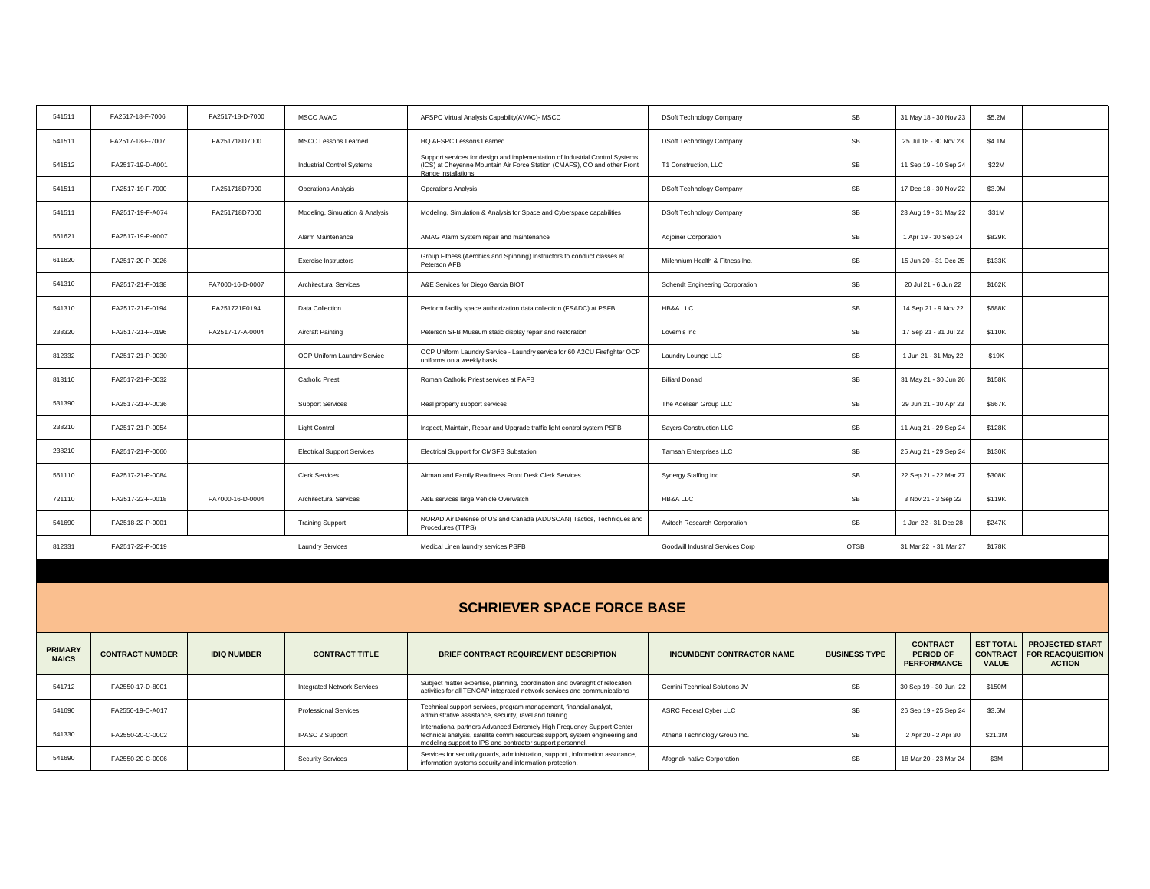| 541511 | FA2517-18-F-7006 | FA2517-18-D-7000 | MSCC AVAC                          | AFSPC Virtual Analysis Capability(AVAC)- MSCC                                                                                                                                    | DSoft Technology Company          | SB   | 31 May 18 - 30 Nov 23 | \$5.2M |
|--------|------------------|------------------|------------------------------------|----------------------------------------------------------------------------------------------------------------------------------------------------------------------------------|-----------------------------------|------|-----------------------|--------|
| 541511 | FA2517-18-F-7007 | FA251718D7000    | MSCC Lessons Learned               | HQ AFSPC Lessons Learned                                                                                                                                                         | DSoft Technology Company          | SB   | 25 Jul 18 - 30 Nov 23 | \$4.1M |
| 541512 | FA2517-19-D-A001 |                  | Industrial Control Systems         | Support services for design and implementation of Industrial Control Systems<br>(ICS) at Cheyenne Mountain Air Force Station (CMAFS), CO and other Front<br>Range installations. | T1 Construction, LLC              | SB   | 11 Sep 19 - 10 Sep 24 | \$22M  |
| 541511 | FA2517-19-F-7000 | FA251718D7000    | <b>Operations Analysis</b>         | <b>Operations Analysis</b>                                                                                                                                                       | DSoft Technology Company          | SB   | 17 Dec 18 - 30 Nov 22 | \$3.9M |
| 541511 | FA2517-19-F-A074 | FA251718D7000    | Modeling, Simulation & Analysis    | Modeling, Simulation & Analysis for Space and Cyberspace capabilities                                                                                                            | DSoft Technology Company          | SB   | 23 Aug 19 - 31 May 22 | \$31M  |
| 561621 | FA2517-19-P-A007 |                  | Alarm Maintenance                  | AMAG Alarm System repair and maintenance                                                                                                                                         | <b>Adjoiner Corporation</b>       | SB   | 1 Apr 19 - 30 Sep 24  | \$829K |
| 611620 | FA2517-20-P-0026 |                  | Exercise Instructors               | Group Fitness (Aerobics and Spinning) Instructors to conduct classes at<br>Peterson AFB                                                                                          | Millennium Health & Fitness Inc.  | SB   | 15 Jun 20 - 31 Dec 25 | \$133K |
| 541310 | FA2517-21-F-0138 | FA7000-16-D-0007 | <b>Architectural Services</b>      | A&E Services for Diego Garcia BIOT                                                                                                                                               | Schendt Engineering Corporation   | SB   | 20 Jul 21 - 6 Jun 22  | \$162K |
| 541310 | FA2517-21-F-0194 | FA251721F0194    | Data Collection                    | Perform facility space authorization data collection (FSADC) at PSFB                                                                                                             | HB&A LLC                          | SB   | 14 Sep 21 - 9 Nov 22  | \$688K |
| 238320 | FA2517-21-F-0196 | FA2517-17-A-0004 | Aircraft Painting                  | Peterson SFB Museum static display repair and restoration                                                                                                                        | Lovern's Inc                      | SB   | 17 Sep 21 - 31 Jul 22 | \$110K |
| 812332 | FA2517-21-P-0030 |                  | OCP Uniform Laundry Service        | OCP Uniform Laundry Service - Laundry service for 60 A2CU Firefighter OCP<br>uniforms on a weekly basis                                                                          | Laundry Lounge LLC                | SB   | 1 Jun 21 - 31 May 22  | \$19K  |
| 813110 | FA2517-21-P-0032 |                  | <b>Catholic Priest</b>             | Roman Catholic Priest services at PAFB                                                                                                                                           | <b>Billiard Donald</b>            | SB   | 31 May 21 - 30 Jun 26 | \$158K |
| 531390 | FA2517-21-P-0036 |                  | <b>Support Services</b>            | Real property support services                                                                                                                                                   | The Adellsen Group LLC            | SB   | 29 Jun 21 - 30 Apr 23 | \$667K |
| 238210 | FA2517-21-P-0054 |                  | <b>Light Control</b>               | Inspect, Maintain, Repair and Upgrade traffic light control system PSFB                                                                                                          | Sayers Construction LLC           | SB   | 11 Aug 21 - 29 Sep 24 | \$128K |
| 238210 | FA2517-21-P-0060 |                  | <b>Electrical Support Services</b> | Electrical Support for CMSFS Substation                                                                                                                                          | Tamsah Enterprises LLC            | SB   | 25 Aug 21 - 29 Sep 24 | \$130K |
| 561110 | FA2517-21-P-0084 |                  | <b>Clerk Services</b>              | Airman and Family Readiness Front Desk Clerk Services                                                                                                                            | Synergy Staffing Inc.             | SB   | 22 Sep 21 - 22 Mar 27 | \$308K |
| 721110 | FA2517-22-F-0018 | FA7000-16-D-0004 | <b>Architectural Services</b>      | A&E services large Vehicle Overwatch                                                                                                                                             | HB&A LLC                          | SB   | 3 Nov 21 - 3 Sep 22   | \$119K |
| 541690 | FA2518-22-P-0001 |                  | <b>Training Support</b>            | NORAD Air Defense of US and Canada (ADUSCAN) Tactics, Techniques and<br>Procedures (TTPS)                                                                                        | Avitech Research Corporation      | SB   | 1 Jan 22 - 31 Dec 28  | \$247K |
| 812331 | FA2517-22-P-0019 |                  | <b>Laundry Services</b>            | Medical Linen laundry services PSFB                                                                                                                                              | Goodwill Industrial Services Corp | OTSB | 31 Mar 22 - 31 Mar 27 | \$178K |

| <b>SCHRIEVER SPACE FORCE BASE</b> |                        |                    |                                    |                                                                                                                                                                                                                      |                                      |                      |                                                           |                                                     |                                                                     |
|-----------------------------------|------------------------|--------------------|------------------------------------|----------------------------------------------------------------------------------------------------------------------------------------------------------------------------------------------------------------------|--------------------------------------|----------------------|-----------------------------------------------------------|-----------------------------------------------------|---------------------------------------------------------------------|
| <b>PRIMARY</b><br><b>NAICS</b>    | <b>CONTRACT NUMBER</b> | <b>IDIQ NUMBER</b> | <b>CONTRACT TITLE</b>              | <b>BRIEF CONTRACT REQUIREMENT DESCRIPTION</b>                                                                                                                                                                        | <b>INCUMBENT CONTRACTOR NAME</b>     | <b>BUSINESS TYPE</b> | <b>CONTRACT</b><br><b>PERIOD OF</b><br><b>PERFORMANCE</b> | <b>EST TOTAL</b><br><b>CONTRACT</b><br><b>VALUE</b> | <b>PROJECTED START</b><br><b>FOR REACQUISITION</b><br><b>ACTION</b> |
| 541712                            | FA2550-17-D-8001       |                    | <b>Integrated Network Services</b> | Subject matter expertise, planning, coordination and oversight of relocation<br>activities for all TENCAP integrated network services and communications                                                             | <b>Gemini Technical Solutions JV</b> | <b>SB</b>            | 30 Sep 19 - 30 Jun 22                                     | \$150M                                              |                                                                     |
| 541690                            | FA2550-19-C-A017       |                    | <b>Professional Services</b>       | Technical support services, program management, financial analyst,<br>administrative assistance, security, ravel and training.                                                                                       | ASRC Federal Cyber LLC               | <b>SB</b>            | 26 Sep 19 - 25 Sep 24                                     | \$3.5M                                              |                                                                     |
| 541330                            | FA2550-20-C-0002       |                    | IPASC 2 Support                    | International partners Advanced Extremely High Frequency Support Center<br>technical analysis, satellite comm resources support, system engineering and<br>modeling support to IPS and contractor support personnel. | Athena Technology Group Inc.         | <b>SB</b>            | 2 Apr 20 - 2 Apr 30                                       | \$21.3M                                             |                                                                     |
| 541690                            | FA2550-20-C-0006       |                    | <b>Security Services</b>           | Services for security quards, administration, support, information assurance,<br>information systems security and information protection.                                                                            | Afognak native Corporation           | <b>SB</b>            | 18 Mar 20 - 23 Mar 24                                     | \$3M                                                |                                                                     |